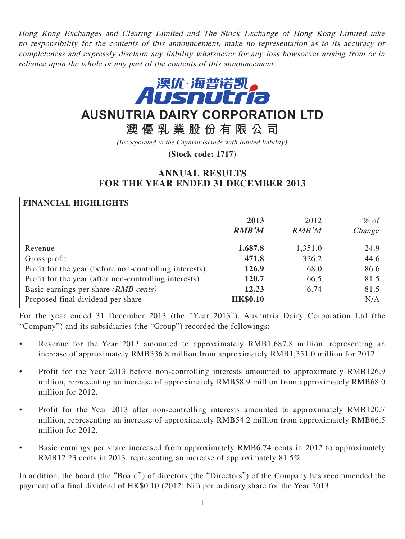Hong Kong Exchanges and Clearing Limited and The Stock Exchange of Hong Kong Limited take no responsibility for the contents of this announcement, make no representation as to its accuracy or completeness and expressly disclaim any liability whatsoever for any loss howsoever arising from or in reliance upon the whole or any part of the contents of this announcement.



# **AUSNUTRIA DAIRY CORPORATION LTD**

**澳優乳業股份有限公司**

(Incorporated in the Cayman Islands with limited liability)

**(Stock code: 1717)**

# **ANNUAL RESULTS FOR THE YEAR ENDED 31 DECEMBER 2013**

| <b>FINANCIAL HIGHLIGHTS</b>                            |                 |         |         |
|--------------------------------------------------------|-----------------|---------|---------|
|                                                        | 2013            | 2012    | $\%$ of |
|                                                        | <b>RMB'M</b>    | RMB'M   | Change  |
| Revenue                                                | 1,687.8         | 1,351.0 | 24.9    |
| Gross profit                                           | 471.8           | 326.2   | 44.6    |
| Profit for the year (before non-controlling interests) | 126.9           | 68.0    | 86.6    |
| Profit for the year (after non-controlling interests)  | 120.7           | 66.5    | 81.5    |
| Basic earnings per share (RMB cents)                   | 12.23           | 6.74    | 81.5    |
| Proposed final dividend per share                      | <b>HK\$0.10</b> |         | N/A     |

For the year ended 31 December 2013 (the "Year 2013"), Ausnutria Dairy Corporation Ltd (the "Company") and its subsidiaries (the "Group") recorded the followings:

- Revenue for the Year 2013 amounted to approximately RMB1,687.8 million, representing an increase of approximately RMB336.8 million from approximately RMB1,351.0 million for 2012.
- Profit for the Year 2013 before non-controlling interests amounted to approximately RMB126.9 million, representing an increase of approximately RMB58.9 million from approximately RMB68.0 million for 2012.
- Profit for the Year 2013 after non-controlling interests amounted to approximately RMB120.7 million, representing an increase of approximately RMB54.2 million from approximately RMB66.5 million for 2012.
- Basic earnings per share increased from approximately RMB6.74 cents in 2012 to approximately RMB12.23 cents in 2013, representing an increase of approximately 81.5%.

In addition, the board (the "Board") of directors (the "Directors") of the Company has recommended the payment of a final dividend of HK\$0.10 (2012: Nil) per ordinary share for the Year 2013.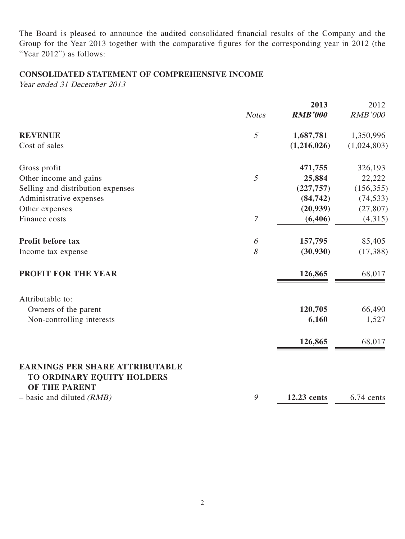The Board is pleased to announce the audited consolidated financial results of the Company and the Group for the Year 2013 together with the comparative figures for the corresponding year in 2012 (the "Year 2012") as follows:

# **CONSOLIDATED STATEMENT OF COMPREHENSIVE INCOME**

Year ended 31 December 2013

|                                                                      |                  | 2013           | 2012           |
|----------------------------------------------------------------------|------------------|----------------|----------------|
|                                                                      | <b>Notes</b>     | <b>RMB'000</b> | <b>RMB'000</b> |
| <b>REVENUE</b>                                                       | 5                | 1,687,781      | 1,350,996      |
| Cost of sales                                                        |                  | (1,216,026)    | (1,024,803)    |
| Gross profit                                                         |                  | 471,755        | 326,193        |
| Other income and gains                                               | 5                | 25,884         | 22,222         |
| Selling and distribution expenses                                    |                  | (227, 757)     | (156, 355)     |
| Administrative expenses                                              |                  | (84, 742)      | (74, 533)      |
| Other expenses                                                       |                  | (20, 939)      | (27, 807)      |
| Finance costs                                                        | $\boldsymbol{7}$ | (6,406)        | (4,315)        |
| Profit before tax                                                    | 6                | 157,795        | 85,405         |
| Income tax expense                                                   | 8                | (30, 930)      | (17, 388)      |
| PROFIT FOR THE YEAR                                                  |                  | 126,865        | 68,017         |
| Attributable to:                                                     |                  |                |                |
| Owners of the parent                                                 |                  | 120,705        | 66,490         |
| Non-controlling interests                                            |                  | 6,160          | 1,527          |
|                                                                      |                  | 126,865        | 68,017         |
| <b>EARNINGS PER SHARE ATTRIBUTABLE</b><br>TO ORDINARY EQUITY HOLDERS |                  |                |                |
| <b>OF THE PARENT</b>                                                 |                  |                |                |
| $-$ basic and diluted (RMB)                                          | $\mathcal{G}$    | 12.23 cents    | 6.74 cents     |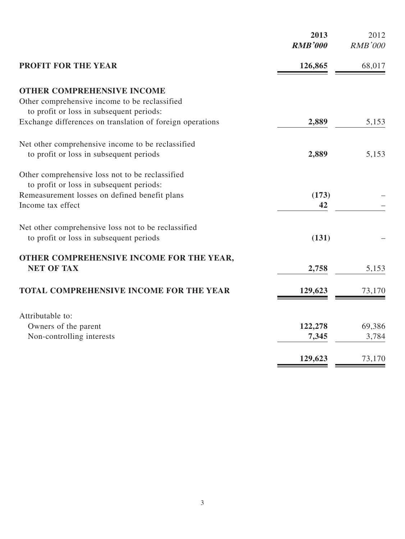|                                                                                           | 2013<br><b>RMB'000</b> | 2012<br><b>RMB'000</b> |
|-------------------------------------------------------------------------------------------|------------------------|------------------------|
| <b>PROFIT FOR THE YEAR</b>                                                                | 126,865                | 68,017                 |
| <b>OTHER COMPREHENSIVE INCOME</b>                                                         |                        |                        |
| Other comprehensive income to be reclassified<br>to profit or loss in subsequent periods: |                        |                        |
| Exchange differences on translation of foreign operations                                 | 2,889                  | 5,153                  |
| Net other comprehensive income to be reclassified                                         |                        |                        |
| to profit or loss in subsequent periods                                                   | 2,889                  | 5,153                  |
| Other comprehensive loss not to be reclassified                                           |                        |                        |
| to profit or loss in subsequent periods:<br>Remeasurement losses on defined benefit plans | (173)                  |                        |
| Income tax effect                                                                         | 42                     |                        |
| Net other comprehensive loss not to be reclassified                                       |                        |                        |
| to profit or loss in subsequent periods                                                   | (131)                  |                        |
| OTHER COMPREHENSIVE INCOME FOR THE YEAR,                                                  |                        |                        |
| <b>NET OF TAX</b>                                                                         | 2,758                  | 5,153                  |
| <b>TOTAL COMPREHENSIVE INCOME FOR THE YEAR</b>                                            | 129,623                | 73,170                 |
| Attributable to:                                                                          |                        |                        |
| Owners of the parent                                                                      | 122,278                | 69,386                 |
| Non-controlling interests                                                                 | 7,345                  | 3,784                  |
|                                                                                           | 129,623                | 73,170                 |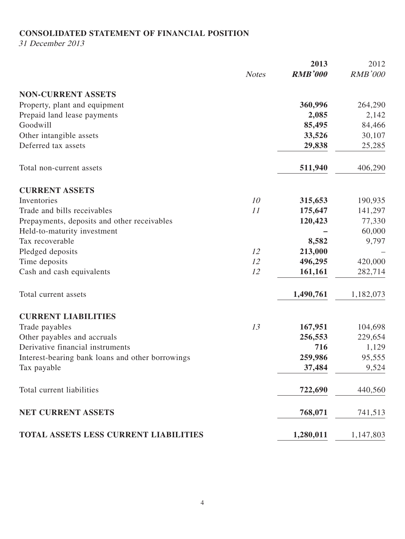## **CONSOLIDATED STATEMENT OF FINANCIAL POSITION**

31 December 2013

|                                                  |              | 2013           | 2012           |
|--------------------------------------------------|--------------|----------------|----------------|
|                                                  | <b>Notes</b> | <b>RMB'000</b> | <b>RMB'000</b> |
| <b>NON-CURRENT ASSETS</b>                        |              |                |                |
| Property, plant and equipment                    |              | 360,996        | 264,290        |
| Prepaid land lease payments                      |              | 2,085          | 2,142          |
| Goodwill                                         |              | 85,495         | 84,466         |
| Other intangible assets                          |              | 33,526         | 30,107         |
| Deferred tax assets                              |              | 29,838         | 25,285         |
| Total non-current assets                         |              | 511,940        | 406,290        |
| <b>CURRENT ASSETS</b>                            |              |                |                |
| Inventories                                      | 10           | 315,653        | 190,935        |
| Trade and bills receivables                      | 11           | 175,647        | 141,297        |
| Prepayments, deposits and other receivables      |              | 120,423        | 77,330         |
| Held-to-maturity investment                      |              |                | 60,000         |
| Tax recoverable                                  |              | 8,582          | 9,797          |
| Pledged deposits                                 | 12           | 213,000        |                |
| Time deposits                                    | 12           | 496,295        | 420,000        |
| Cash and cash equivalents                        | 12           | 161,161        | 282,714        |
| Total current assets                             |              | 1,490,761      | 1,182,073      |
| <b>CURRENT LIABILITIES</b>                       |              |                |                |
| Trade payables                                   | 13           | 167,951        | 104,698        |
| Other payables and accruals                      |              | 256,553        | 229,654        |
| Derivative financial instruments                 |              | 716            | 1,129          |
| Interest-bearing bank loans and other borrowings |              | 259,986        | 95,555         |
| Tax payable                                      |              | 37,484         | 9,524          |
| Total current liabilities                        |              | 722,690        | 440,560        |
| NET CURRENT ASSETS                               |              | 768,071        | 741,513        |
| TOTAL ASSETS LESS CURRENT LIABILITIES            |              | 1,280,011      | 1,147,803      |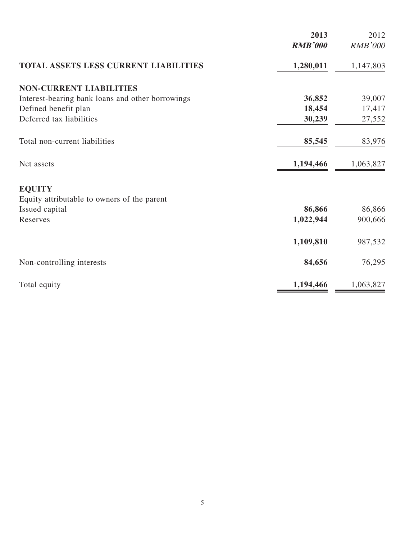|                                                  | 2013<br><b>RMB'000</b> | 2012<br><b>RMB'000</b> |
|--------------------------------------------------|------------------------|------------------------|
|                                                  |                        |                        |
| TOTAL ASSETS LESS CURRENT LIABILITIES            | 1,280,011              | 1,147,803              |
| <b>NON-CURRENT LIABILITIES</b>                   |                        |                        |
| Interest-bearing bank loans and other borrowings | 36,852                 | 39,007                 |
| Defined benefit plan                             | 18,454                 | 17,417                 |
| Deferred tax liabilities                         | 30,239                 | 27,552                 |
| Total non-current liabilities                    | 85,545                 | 83,976                 |
| Net assets                                       | 1,194,466              | 1,063,827              |
| <b>EQUITY</b>                                    |                        |                        |
| Equity attributable to owners of the parent      |                        |                        |
| Issued capital                                   | 86,866                 | 86,866                 |
| Reserves                                         | 1,022,944              | 900,666                |
|                                                  | 1,109,810              | 987,532                |
| Non-controlling interests                        | 84,656                 | 76,295                 |
| Total equity                                     | 1,194,466              | 1,063,827              |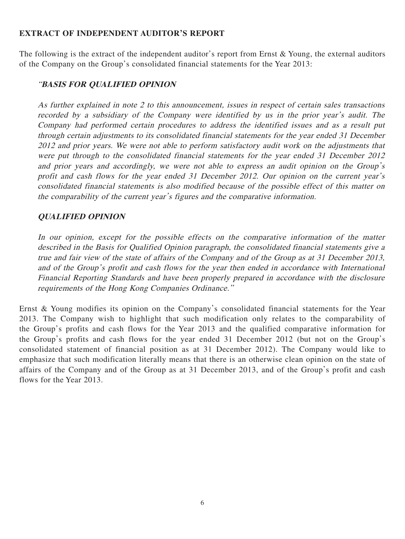#### **EXTRACT OF INDEPENDENT AUDITOR'S REPORT**

The following is the extract of the independent auditor's report from Ernst & Young, the external auditors of the Company on the Group's consolidated financial statements for the Year 2013:

## "**BASIS FOR QUALIFIED OPINION**

As further explained in note 2 to this announcement, issues in respect of certain sales transactions recorded by a subsidiary of the Company were identified by us in the prior year's audit. The Company had performed certain procedures to address the identified issues and as a result put through certain adjustments to its consolidated financial statements for the year ended 31 December 2012 and prior years. We were not able to perform satisfactory audit work on the adjustments that were put through to the consolidated financial statements for the year ended 31 December 2012 and prior years and accordingly, we were not able to express an audit opinion on the Group's profit and cash flows for the year ended 31 December 2012. Our opinion on the current year's consolidated financial statements is also modified because of the possible effect of this matter on the comparability of the current year's figures and the comparative information.

## **QUALIFIED OPINION**

In our opinion, except for the possible effects on the comparative information of the matter described in the Basis for Qualified Opinion paragraph, the consolidated financial statements give a true and fair view of the state of affairs of the Company and of the Group as at 31 December 2013, and of the Group's profit and cash flows for the year then ended in accordance with International Financial Reporting Standards and have been properly prepared in accordance with the disclosure requirements of the Hong Kong Companies Ordinance."

Ernst & Young modifies its opinion on the Company's consolidated financial statements for the Year 2013. The Company wish to highlight that such modification only relates to the comparability of the Group's profits and cash flows for the Year 2013 and the qualified comparative information for the Group's profits and cash flows for the year ended 31 December 2012 (but not on the Group's consolidated statement of financial position as at 31 December 2012). The Company would like to emphasize that such modification literally means that there is an otherwise clean opinion on the state of affairs of the Company and of the Group as at 31 December 2013, and of the Group's profit and cash flows for the Year 2013.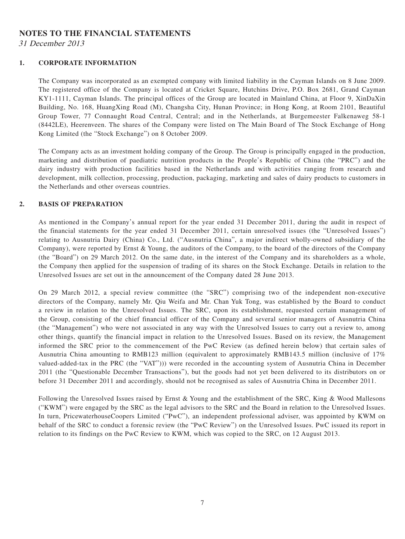## **NOTES TO THE FINANCIAL STATEMENTS**

31 December 2013

#### **1. CORPORATE INFORMATION**

The Company was incorporated as an exempted company with limited liability in the Cayman Islands on 8 June 2009. The registered office of the Company is located at Cricket Square, Hutchins Drive, P.O. Box 2681, Grand Cayman KY1-1111, Cayman Islands. The principal offices of the Group are located in Mainland China, at Floor 9, XinDaXin Building, No. 168, HuangXing Road (M), Changsha City, Hunan Province; in Hong Kong, at Room 2101, Beautiful Group Tower, 77 Connaught Road Central, Central; and in the Netherlands, at Burgemeester Falkenaweg 58-1 (8442LE), Heerenveen. The shares of the Company were listed on The Main Board of The Stock Exchange of Hong Kong Limited (the "Stock Exchange") on 8 October 2009.

The Company acts as an investment holding company of the Group. The Group is principally engaged in the production, marketing and distribution of paediatric nutrition products in the People's Republic of China (the "PRC") and the dairy industry with production facilities based in the Netherlands and with activities ranging from research and development, milk collection, processing, production, packaging, marketing and sales of dairy products to customers in the Netherlands and other overseas countries.

#### **2. BASIS OF PREPARATION**

As mentioned in the Company's annual report for the year ended 31 December 2011, during the audit in respect of the financial statements for the year ended 31 December 2011, certain unresolved issues (the "Unresolved Issues") relating to Ausnutria Dairy (China) Co., Ltd. ("Ausnutria China", a major indirect wholly-owned subsidiary of the Company), were reported by Ernst & Young, the auditors of the Company, to the board of the directors of the Company (the "Board") on 29 March 2012. On the same date, in the interest of the Company and its shareholders as a whole, the Company then applied for the suspension of trading of its shares on the Stock Exchange. Details in relation to the Unresolved Issues are set out in the announcement of the Company dated 28 June 2013.

On 29 March 2012, a special review committee (the "SRC") comprising two of the independent non-executive directors of the Company, namely Mr. Qiu Weifa and Mr. Chan Yuk Tong, was established by the Board to conduct a review in relation to the Unresolved Issues. The SRC, upon its establishment, requested certain management of the Group, consisting of the chief financial officer of the Company and several senior managers of Ausnutria China (the "Management") who were not associated in any way with the Unresolved Issues to carry out a review to, among other things, quantify the financial impact in relation to the Unresolved Issues. Based on its review, the Management informed the SRC prior to the commencement of the PwC Review (as defined herein below) that certain sales of Ausnutria China amounting to RMB123 million (equivalent to approximately RMB143.5 million (inclusive of 17% valued-added-tax in the PRC (the "VAT"))) were recorded in the accounting system of Ausnutria China in December 2011 (the "Questionable December Transactions"), but the goods had not yet been delivered to its distributors on or before 31 December 2011 and accordingly, should not be recognised as sales of Ausnutria China in December 2011.

Following the Unresolved Issues raised by Ernst & Young and the establishment of the SRC, King & Wood Mallesons ("KWM") were engaged by the SRC as the legal advisors to the SRC and the Board in relation to the Unresolved Issues. In turn, PricewaterhouseCoopers Limited ("PwC"), an independent professional adviser, was appointed by KWM on behalf of the SRC to conduct a forensic review (the "PwC Review") on the Unresolved Issues. PwC issued its report in relation to its findings on the PwC Review to KWM, which was copied to the SRC, on 12 August 2013.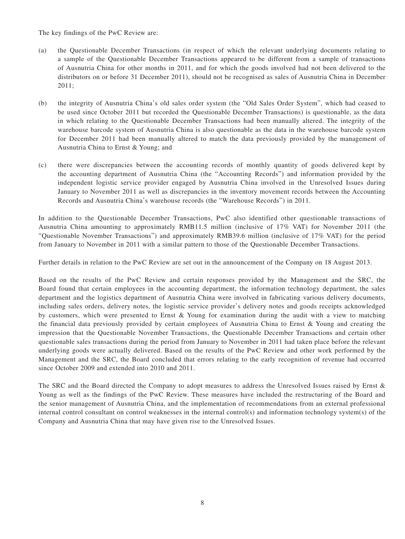The key findings of the PwC Review are:

- (a) the Questionable December Transactions (in respect of which the relevant underlying documents relating to a sample of the Questionable December Transactions appeared to be different from a sample of transactions of Ausnutria China for other months in 2011, and for which the goods involved had not been delivered to the distributors on or before 31 December 2011), should not be recognised as sales of Ausnutria China in December 2011;
- (b) the integrity of Ausnutria China's old sales order system (the "Old Sales Order System", which had ceased to be used since October 2011 but recorded the Questionable December Transactions) is questionable, as the data in which relating to the Questionable December Transactions had been manually altered. The integrity of the warehouse barcode system of Ausnutria China is also questionable as the data in the warehouse barcode system for December 2011 had been manually altered to match the data previously provided by the management of Ausnutria China to Ernst & Young; and
- (c) there were discrepancies between the accounting records of monthly quantity of goods delivered kept by the accounting department of Ausnutria China (the "Accounting Records") and information provided by the independent logistic service provider engaged by Ausnutria China involved in the Unresolved Issues during January to November 2011 as well as discrepancies in the inventory movement records between the Accounting Records and Ausnutria China's warehouse records (the "Warehouse Records") in 2011.

In addition to the Questionable December Transactions, PwC also identified other questionable transactions of Ausnutria China amounting to approximately RMB11.5 million (inclusive of 17% VAT) for November 2011 (the "Questionable November Transactions") and approximately RMB39.6 million (inclusive of 17% VAT) for the period from January to November in 2011 with a similar pattern to those of the Questionable December Transactions.

Further details in relation to the PwC Review are set out in the announcement of the Company on 18 August 2013.

Based on the results of the PwC Review and certain responses provided by the Management and the SRC, the Board found that certain employees in the accounting department, the information technology department, the sales department and the logistics department of Ausnutria China were involved in fabricating various delivery documents, including sales orders, delivery notes, the logistic service provider's delivery notes and goods receipts acknowledged by customers, which were presented to Ernst & Young for examination during the audit with a view to matching the financial data previously provided by certain employees of Ausnutria China to Ernst & Young and creating the impression that the Questionable November Transactions, the Questionable December Transactions and certain other questionable sales transactions during the period from January to November in 2011 had taken place before the relevant underlying goods were actually delivered. Based on the results of the PwC Review and other work performed by the Management and the SRC, the Board concluded that errors relating to the early recognition of revenue had occurred since October 2009 and extended into 2010 and 2011.

The SRC and the Board directed the Company to adopt measures to address the Unresolved Issues raised by Ernst & Young as well as the findings of the PwC Review. These measures have included the restructuring of the Board and the senior management of Ausnutria China, and the implementation of recommendations from an external professional internal control consultant on control weaknesses in the internal control(s) and information technology system(s) of the Company and Ausnutria China that may have given rise to the Unresolved Issues.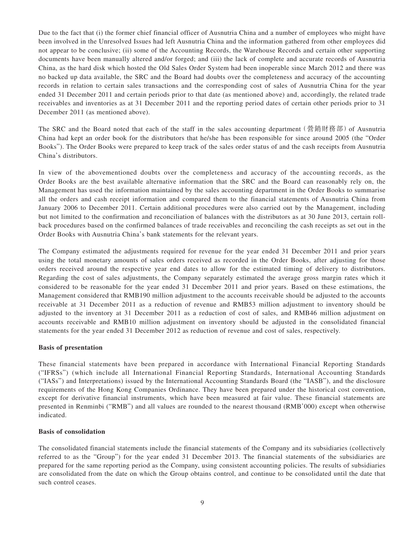Due to the fact that (i) the former chief financial officer of Ausnutria China and a number of employees who might have been involved in the Unresolved Issues had left Ausnutria China and the information gathered from other employees did not appear to be conclusive; (ii) some of the Accounting Records, the Warehouse Records and certain other supporting documents have been manually altered and/or forged; and (iii) the lack of complete and accurate records of Ausnutria China, as the hard disk which hosted the Old Sales Order System had been inoperable since March 2012 and there was no backed up data available, the SRC and the Board had doubts over the completeness and accuracy of the accounting records in relation to certain sales transactions and the corresponding cost of sales of Ausnutria China for the year ended 31 December 2011 and certain periods prior to that date (as mentioned above) and, accordingly, the related trade receivables and inventories as at 31 December 2011 and the reporting period dates of certain other periods prior to 31 December 2011 (as mentioned above).

The SRC and the Board noted that each of the staff in the sales accounting department (營銷財務部) of Ausnutria China had kept an order book for the distributors that he/she has been responsible for since around 2005 (the "Order Books"). The Order Books were prepared to keep track of the sales order status of and the cash receipts from Ausnutria China's distributors.

In view of the abovementioned doubts over the completeness and accuracy of the accounting records, as the Order Books are the best available alternative information that the SRC and the Board can reasonably rely on, the Management has used the information maintained by the sales accounting department in the Order Books to summarise all the orders and cash receipt information and compared them to the financial statements of Ausnutria China from January 2006 to December 2011. Certain additional procedures were also carried out by the Management, including but not limited to the confirmation and reconciliation of balances with the distributors as at 30 June 2013, certain rollback procedures based on the confirmed balances of trade receivables and reconciling the cash receipts as set out in the Order Books with Ausnutria China's bank statements for the relevant years.

The Company estimated the adjustments required for revenue for the year ended 31 December 2011 and prior years using the total monetary amounts of sales orders received as recorded in the Order Books, after adjusting for those orders received around the respective year end dates to allow for the estimated timing of delivery to distributors. Regarding the cost of sales adjustments, the Company separately estimated the average gross margin rates which it considered to be reasonable for the year ended 31 December 2011 and prior years. Based on these estimations, the Management considered that RMB190 million adjustment to the accounts receivable should be adjusted to the accounts receivable at 31 December 2011 as a reduction of revenue and RMB53 million adjustment to inventory should be adjusted to the inventory at 31 December 2011 as a reduction of cost of sales, and RMB46 million adjustment on accounts receivable and RMB10 million adjustment on inventory should be adjusted in the consolidated financial statements for the year ended 31 December 2012 as reduction of revenue and cost of sales, respectively.

#### **Basis of presentation**

These financial statements have been prepared in accordance with International Financial Reporting Standards ("IFRSs") (which include all International Financial Reporting Standards, International Accounting Standards ("IASs") and Interpretations) issued by the International Accounting Standards Board (the "IASB"), and the disclosure requirements of the Hong Kong Companies Ordinance. They have been prepared under the historical cost convention, except for derivative financial instruments, which have been measured at fair value. These financial statements are presented in Renminbi ("RMB") and all values are rounded to the nearest thousand (RMB'000) except when otherwise indicated.

#### **Basis of consolidation**

The consolidated financial statements include the financial statements of the Company and its subsidiaries (collectively referred to as the "Group") for the year ended 31 December 2013. The financial statements of the subsidiaries are prepared for the same reporting period as the Company, using consistent accounting policies. The results of subsidiaries are consolidated from the date on which the Group obtains control, and continue to be consolidated until the date that such control ceases.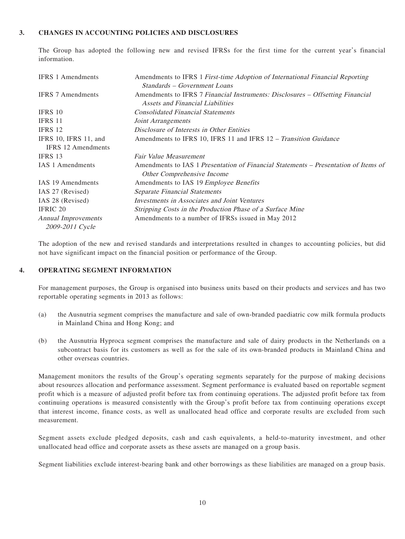#### **3. CHANGES IN ACCOUNTING POLICIES AND DISCLOSURES**

The Group has adopted the following new and revised IFRSs for the first time for the current year's financial information.

| <b>IFRS</b> 1 Amendments   | Amendments to IFRS 1 First-time Adoption of International Financial Reporting                                      |
|----------------------------|--------------------------------------------------------------------------------------------------------------------|
|                            | Standards – Government Loans                                                                                       |
| <b>IFRS 7 Amendments</b>   | Amendments to IFRS 7 Financial Instruments: Disclosures – Offsetting Financial<br>Assets and Financial Liabilities |
| IFRS 10                    | <b>Consolidated Financial Statements</b>                                                                           |
| IFRS 11                    | Joint Arrangements                                                                                                 |
| IFRS 12                    | Disclosure of Interests in Other Entities                                                                          |
| IFRS 10, IFRS 11, and      | Amendments to IFRS 10, IFRS 11 and IFRS 12 – Transition Guidance                                                   |
| <b>IFRS</b> 12 Amendments  |                                                                                                                    |
| IFRS 13                    | <b>Fair Value Measurement</b>                                                                                      |
| <b>IAS</b> 1 Amendments    | Amendments to IAS 1 Presentation of Financial Statements – Presentation of Items of<br>Other Comprehensive Income  |
| IAS 19 Amendments          | Amendments to IAS 19 Employee Benefits                                                                             |
| IAS 27 (Revised)           | <b>Separate Financial Statements</b>                                                                               |
| IAS 28 (Revised)           | Investments in Associates and Joint Ventures                                                                       |
| IFRIC 20                   | Stripping Costs in the Production Phase of a Surface Mine                                                          |
| <b>Annual Improvements</b> | Amendments to a number of IFRSs issued in May 2012                                                                 |
| 2009-2011 Cycle            |                                                                                                                    |

The adoption of the new and revised standards and interpretations resulted in changes to accounting policies, but did not have significant impact on the financial position or performance of the Group.

#### **4. OPERATING SEGMENT INFORMATION**

For management purposes, the Group is organised into business units based on their products and services and has two reportable operating segments in 2013 as follows:

- (a) the Ausnutria segment comprises the manufacture and sale of own-branded paediatric cow milk formula products in Mainland China and Hong Kong; and
- (b) the Ausnutria Hyproca segment comprises the manufacture and sale of dairy products in the Netherlands on a subcontract basis for its customers as well as for the sale of its own-branded products in Mainland China and other overseas countries.

Management monitors the results of the Group's operating segments separately for the purpose of making decisions about resources allocation and performance assessment. Segment performance is evaluated based on reportable segment profit which is a measure of adjusted profit before tax from continuing operations. The adjusted profit before tax from continuing operations is measured consistently with the Group's profit before tax from continuing operations except that interest income, finance costs, as well as unallocated head office and corporate results are excluded from such measurement.

Segment assets exclude pledged deposits, cash and cash equivalents, a held-to-maturity investment, and other unallocated head office and corporate assets as these assets are managed on a group basis.

Segment liabilities exclude interest-bearing bank and other borrowings as these liabilities are managed on a group basis.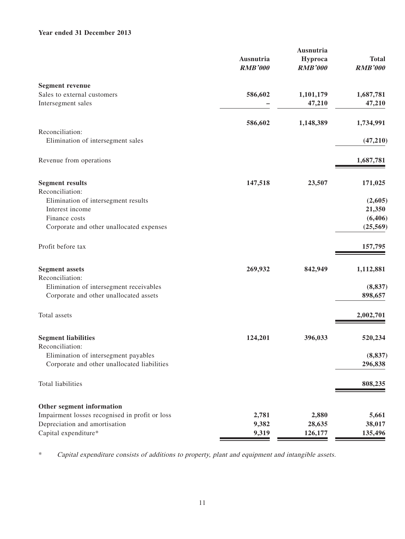#### **Year ended 31 December 2013**

|                                                | Ausnutria      | Ausnutria<br>Hyproca | <b>Total</b>   |
|------------------------------------------------|----------------|----------------------|----------------|
|                                                | <b>RMB'000</b> | <b>RMB'000</b>       | <b>RMB'000</b> |
| <b>Segment revenue</b>                         |                |                      |                |
| Sales to external customers                    | 586,602        | 1,101,179            | 1,687,781      |
| Intersegment sales                             |                | 47,210               | 47,210         |
|                                                | 586,602        | 1,148,389            | 1,734,991      |
| Reconciliation:                                |                |                      |                |
| Elimination of intersegment sales              |                |                      | (47, 210)      |
| Revenue from operations                        |                |                      | 1,687,781      |
| <b>Segment results</b>                         | 147,518        | 23,507               | 171,025        |
| Reconciliation:                                |                |                      |                |
| Elimination of intersegment results            |                |                      | (2,605)        |
| Interest income                                |                |                      | 21,350         |
| Finance costs                                  |                |                      | (6, 406)       |
| Corporate and other unallocated expenses       |                |                      | (25, 569)      |
| Profit before tax                              |                |                      | 157,795        |
| <b>Segment assets</b>                          | 269,932        | 842,949              | 1,112,881      |
| Reconciliation:                                |                |                      |                |
| Elimination of intersegment receivables        |                |                      | (8, 837)       |
| Corporate and other unallocated assets         |                |                      | 898,657        |
| Total assets                                   |                |                      | 2,002,701      |
| <b>Segment liabilities</b>                     | 124,201        | 396,033              | 520,234        |
| Reconciliation:                                |                |                      |                |
| Elimination of intersegment payables           |                |                      | (8, 837)       |
| Corporate and other unallocated liabilities    |                |                      | 296,838        |
| Total liabilities                              |                |                      | 808,235        |
| Other segment information                      |                |                      |                |
| Impairment losses recognised in profit or loss | 2,781          | 2,880                | 5,661          |
| Depreciation and amortisation                  | 9,382          | 28,635               | 38,017         |
| Capital expenditure*                           | 9,319          | 126,177              | 135,496        |

\* Capital expenditure consists of additions to property, plant and equipment and intangible assets.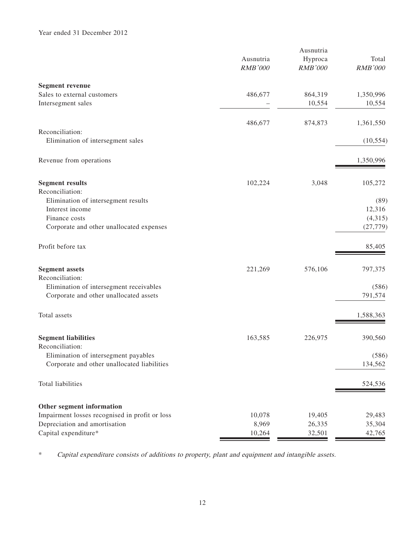|                                                | Ausnutria<br><b>RMB'000</b> | Ausnutria<br>Hyproca<br><b>RMB'000</b> | Total<br><b>RMB'000</b> |
|------------------------------------------------|-----------------------------|----------------------------------------|-------------------------|
| <b>Segment revenue</b>                         |                             |                                        |                         |
| Sales to external customers                    | 486,677                     | 864,319                                | 1,350,996               |
| Intersegment sales                             |                             | 10,554                                 | 10,554                  |
|                                                | 486,677                     | 874,873                                | 1,361,550               |
| Reconciliation:                                |                             |                                        |                         |
| Elimination of intersegment sales              |                             |                                        | (10, 554)               |
| Revenue from operations                        |                             |                                        | 1,350,996               |
| <b>Segment results</b>                         | 102,224                     | 3,048                                  | 105,272                 |
| Reconciliation:                                |                             |                                        |                         |
| Elimination of intersegment results            |                             |                                        | (89)                    |
| Interest income                                |                             |                                        | 12,316                  |
| Finance costs                                  |                             |                                        | (4,315)                 |
| Corporate and other unallocated expenses       |                             |                                        | (27, 779)               |
| Profit before tax                              |                             |                                        | 85,405                  |
| <b>Segment assets</b>                          | 221,269                     | 576,106                                | 797,375                 |
| Reconciliation:                                |                             |                                        |                         |
| Elimination of intersegment receivables        |                             |                                        | (586)                   |
| Corporate and other unallocated assets         |                             |                                        | 791,574                 |
| Total assets                                   |                             |                                        | 1,588,363               |
| <b>Segment liabilities</b>                     | 163,585                     | 226,975                                | 390,560                 |
| Reconciliation:                                |                             |                                        |                         |
| Elimination of intersegment payables           |                             |                                        | (586)                   |
| Corporate and other unallocated liabilities    |                             |                                        | 134,562                 |
| Total liabilities                              |                             |                                        | 524,536                 |
| Other segment information                      |                             |                                        |                         |
| Impairment losses recognised in profit or loss | 10,078                      | 19,405                                 | 29,483                  |
| Depreciation and amortisation                  | 8,969                       | 26,335                                 | 35,304                  |
| Capital expenditure*                           | 10,264                      | 32,501                                 | 42,765                  |

\* Capital expenditure consists of additions to property, plant and equipment and intangible assets.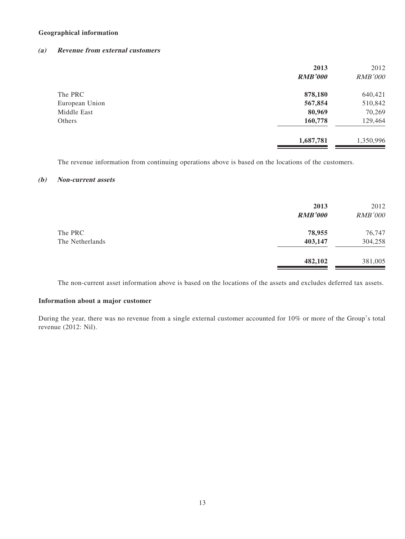#### **Geographical information**

#### **(a) Revenue from external customers**

|                | 2013<br><b>RMB'000</b> | 2012<br><b>RMB'000</b> |
|----------------|------------------------|------------------------|
| The PRC        | 878,180                | 640,421                |
| European Union | 567,854                | 510,842                |
| Middle East    | 80,969                 | 70,269                 |
| Others         | 160,778                | 129,464                |
|                | 1,687,781              | 1,350,996              |

The revenue information from continuing operations above is based on the locations of the customers.

#### **(b) Non-current assets**

|                            | 2013<br><b>RMB'000</b> | 2012<br><b>RMB'000</b> |
|----------------------------|------------------------|------------------------|
| The PRC<br>The Netherlands | 78,955<br>403,147      | 76,747<br>304,258      |
|                            | 482,102                | 381,005                |

The non-current asset information above is based on the locations of the assets and excludes deferred tax assets.

#### **Information about a major customer**

During the year, there was no revenue from a single external customer accounted for 10% or more of the Group's total revenue (2012: Nil).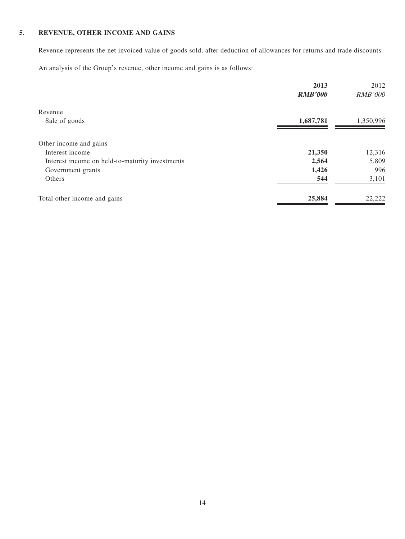#### **5. REVENUE, OTHER INCOME AND GAINS**

Revenue represents the net invoiced value of goods sold, after deduction of allowances for returns and trade discounts.

An analysis of the Group's revenue, other income and gains is as follows:

|                                                 | 2013           | 2012           |
|-------------------------------------------------|----------------|----------------|
|                                                 | <b>RMB'000</b> | <b>RMB'000</b> |
| Revenue                                         |                |                |
| Sale of goods                                   | 1,687,781      | 1,350,996      |
| Other income and gains                          |                |                |
| Interest income                                 | 21,350         | 12,316         |
| Interest income on held-to-maturity investments | 2,564          | 5,809          |
| Government grants                               | 1,426          | 996            |
| Others                                          | 544            | 3,101          |
| Total other income and gains                    | 25,884         | 22,222         |
|                                                 |                |                |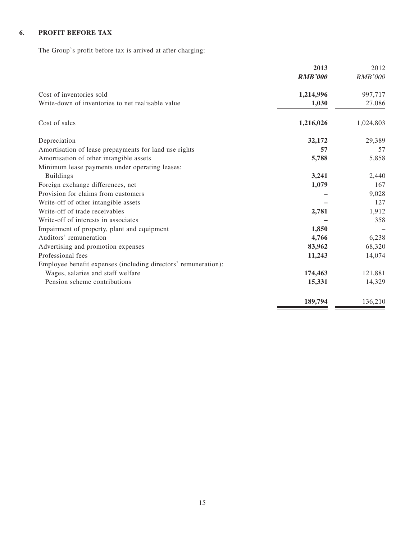## **6. PROFIT BEFORE TAX**

The Group's profit before tax is arrived at after charging:

|                                                                | 2013           | 2012           |
|----------------------------------------------------------------|----------------|----------------|
|                                                                | <b>RMB'000</b> | <b>RMB'000</b> |
| Cost of inventories sold                                       | 1,214,996      | 997,717        |
| Write-down of inventories to net realisable value              | 1,030          | 27,086         |
| Cost of sales                                                  | 1,216,026      | 1,024,803      |
| Depreciation                                                   | 32,172         | 29,389         |
| Amortisation of lease prepayments for land use rights          | 57             | 57             |
| Amortisation of other intangible assets                        | 5,788          | 5,858          |
| Minimum lease payments under operating leases:                 |                |                |
| <b>Buildings</b>                                               | 3,241          | 2,440          |
| Foreign exchange differences, net                              | 1,079          | 167            |
| Provision for claims from customers                            |                | 9,028          |
| Write-off of other intangible assets                           |                | 127            |
| Write-off of trade receivables                                 | 2,781          | 1,912          |
| Write-off of interests in associates                           |                | 358            |
| Impairment of property, plant and equipment                    | 1,850          |                |
| Auditors' remuneration                                         | 4,766          | 6,238          |
| Advertising and promotion expenses                             | 83,962         | 68,320         |
| Professional fees                                              | 11,243         | 14,074         |
| Employee benefit expenses (including directors' remuneration): |                |                |
| Wages, salaries and staff welfare                              | 174,463        | 121,881        |
| Pension scheme contributions                                   | 15,331         | 14,329         |
|                                                                | 189,794        | 136,210        |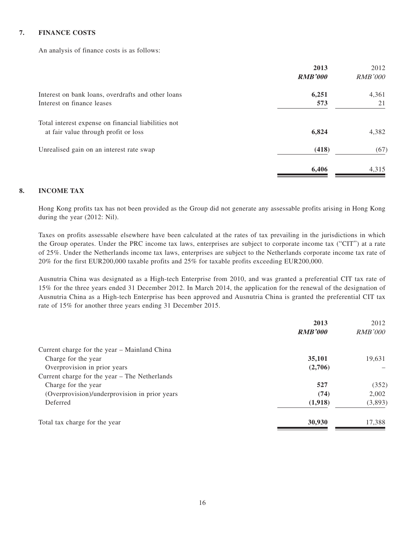#### **7. FINANCE COSTS**

An analysis of finance costs is as follows:

|                                                     | 2013           | 2012           |
|-----------------------------------------------------|----------------|----------------|
|                                                     | <b>RMB'000</b> | <b>RMB'000</b> |
| Interest on bank loans, overdrafts and other loans  | 6,251          | 4,361          |
| Interest on finance leases                          | 573            | 21             |
| Total interest expense on financial liabilities not |                |                |
| at fair value through profit or loss                | 6,824          | 4,382          |
| Unrealised gain on an interest rate swap            | (418)          | (67)           |
|                                                     | 6.406          | 4,315          |

#### **8. INCOME TAX**

Hong Kong profits tax has not been provided as the Group did not generate any assessable profits arising in Hong Kong during the year (2012: Nil).

Taxes on profits assessable elsewhere have been calculated at the rates of tax prevailing in the jurisdictions in which the Group operates. Under the PRC income tax laws, enterprises are subject to corporate income tax ("CIT") at a rate of 25%. Under the Netherlands income tax laws, enterprises are subject to the Netherlands corporate income tax rate of 20% for the first EUR200,000 taxable profits and 25% for taxable profits exceeding EUR200,000.

Ausnutria China was designated as a High-tech Enterprise from 2010, and was granted a preferential CIT tax rate of 15% for the three years ended 31 December 2012. In March 2014, the application for the renewal of the designation of Ausnutria China as a High-tech Enterprise has been approved and Ausnutria China is granted the preferential CIT tax rate of 15% for another three years ending 31 December 2015.

|                                               | 2013           | 2012           |
|-----------------------------------------------|----------------|----------------|
|                                               | <b>RMB'000</b> | <i>RMB'000</i> |
| Current charge for the year - Mainland China  |                |                |
| Charge for the year                           | 35,101         | 19,631         |
| Overprovision in prior years                  | (2,706)        |                |
| Current charge for the year – The Netherlands |                |                |
| Charge for the year                           | 527            | (352)          |
| (Overprovision)/underprovision in prior years | (74)           | 2.002          |
| Deferred                                      | (1,918)        | (3,893)        |
| Total tax charge for the year                 | 30,930         | 17,388         |
|                                               |                |                |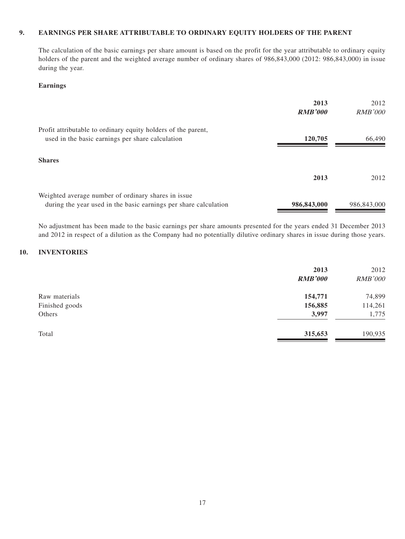#### **9. EARNINGS PER SHARE ATTRIBUTABLE TO ORDINARY EQUITY HOLDERS OF THE PARENT**

The calculation of the basic earnings per share amount is based on the profit for the year attributable to ordinary equity holders of the parent and the weighted average number of ordinary shares of 986,843,000 (2012: 986,843,000) in issue during the year.

#### **Earnings**

|                                                                                                                         | 2013<br><b>RMB'000</b> | 2012<br><i>RMB'000</i> |
|-------------------------------------------------------------------------------------------------------------------------|------------------------|------------------------|
| Profit attributable to ordinary equity holders of the parent,<br>used in the basic earnings per share calculation       | 120,705                | 66,490                 |
| <b>Shares</b>                                                                                                           |                        |                        |
|                                                                                                                         | 2013                   | 2012                   |
| Weighted average number of ordinary shares in issue<br>during the year used in the basic earnings per share calculation | 986,843,000            | 986,843,000            |

No adjustment has been made to the basic earnings per share amounts presented for the years ended 31 December 2013 and 2012 in respect of a dilution as the Company had no potentially dilutive ordinary shares in issue during those years.

#### **10. INVENTORIES**

|                | 2013<br><b>RMB'000</b> | 2012<br><b>RMB'000</b> |
|----------------|------------------------|------------------------|
| Raw materials  | 154,771                | 74,899                 |
| Finished goods | 156,885                | 114,261                |
| Others         | 3,997                  | 1,775                  |
| Total          | 315,653                | 190,935                |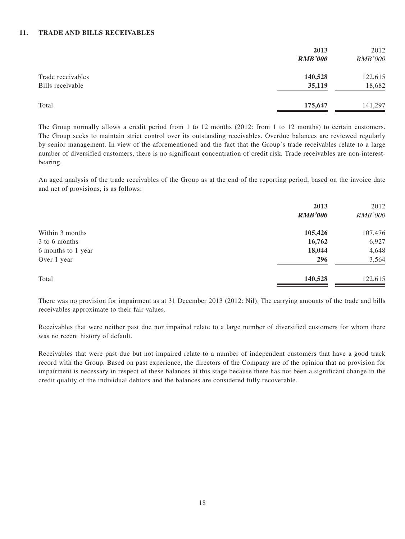#### **11. TRADE AND BILLS RECEIVABLES**

|                                       | 2013<br><b>RMB'000</b> | 2012<br><b>RMB'000</b> |
|---------------------------------------|------------------------|------------------------|
| Trade receivables<br>Bills receivable | 140,528<br>35,119      | 122,615<br>18,682      |
| Total                                 | 175,647                | 141,297                |

The Group normally allows a credit period from 1 to 12 months (2012: from 1 to 12 months) to certain customers. The Group seeks to maintain strict control over its outstanding receivables. Overdue balances are reviewed regularly by senior management. In view of the aforementioned and the fact that the Group's trade receivables relate to a large number of diversified customers, there is no significant concentration of credit risk. Trade receivables are non-interestbearing.

An aged analysis of the trade receivables of the Group as at the end of the reporting period, based on the invoice date and net of provisions, is as follows:

|                    | 2013<br><b>RMB'000</b> | 2012<br><b>RMB'000</b> |
|--------------------|------------------------|------------------------|
| Within 3 months    | 105,426                | 107,476                |
| 3 to 6 months      | 16,762                 | 6,927                  |
| 6 months to 1 year | 18,044                 | 4,648                  |
| Over 1 year        | 296                    | 3,564                  |
| Total              | 140,528                | 122,615                |

There was no provision for impairment as at 31 December 2013 (2012: Nil). The carrying amounts of the trade and bills receivables approximate to their fair values.

Receivables that were neither past due nor impaired relate to a large number of diversified customers for whom there was no recent history of default.

Receivables that were past due but not impaired relate to a number of independent customers that have a good track record with the Group. Based on past experience, the directors of the Company are of the opinion that no provision for impairment is necessary in respect of these balances at this stage because there has not been a significant change in the credit quality of the individual debtors and the balances are considered fully recoverable.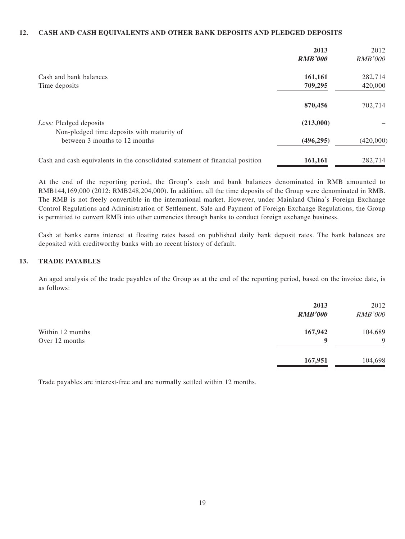#### **12. CASH AND CASH EQUIVALENTS AND OTHER BANK DEPOSITS AND PLEDGED DEPOSITS**

|                                                                               | 2013<br><b>RMB'000</b> | 2012<br><i>RMB'000</i> |
|-------------------------------------------------------------------------------|------------------------|------------------------|
| Cash and bank balances                                                        | 161,161                | 282,714                |
| Time deposits                                                                 | 709,295                | 420,000                |
|                                                                               | 870,456                | 702,714                |
| Less: Pledged deposits<br>Non-pledged time deposits with maturity of          | (213,000)              |                        |
| between 3 months to 12 months                                                 | (496, 295)             | (420,000)              |
| Cash and cash equivalents in the consolidated statement of financial position | 161,161                | 282,714                |

At the end of the reporting period, the Group's cash and bank balances denominated in RMB amounted to RMB144,169,000 (2012: RMB248,204,000). In addition, all the time deposits of the Group were denominated in RMB. The RMB is not freely convertible in the international market. However, under Mainland China's Foreign Exchange Control Regulations and Administration of Settlement, Sale and Payment of Foreign Exchange Regulations, the Group is permitted to convert RMB into other currencies through banks to conduct foreign exchange business.

Cash at banks earns interest at floating rates based on published daily bank deposit rates. The bank balances are deposited with creditworthy banks with no recent history of default.

#### **13. TRADE PAYABLES**

An aged analysis of the trade payables of the Group as at the end of the reporting period, based on the invoice date, is as follows:

|                                    | 2013<br><b>RMB'000</b> | 2012<br><b>RMB'000</b> |
|------------------------------------|------------------------|------------------------|
| Within 12 months<br>Over 12 months | 167,942<br>9           | 104,689<br>9           |
|                                    | 167,951                | 104,698                |

Trade payables are interest-free and are normally settled within 12 months.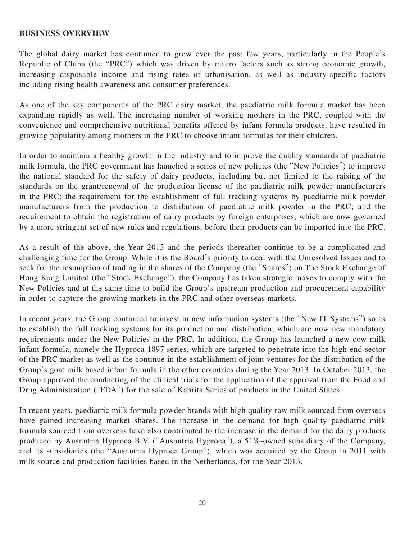#### **BUSINESS OVERVIEW**

The global dairy market has continued to grow over the past few years, particularly in the People's Republic of China (the "PRC") which was driven by macro factors such as strong economic growth, increasing disposable income and rising rates of urbanisation, as well as industry-specific factors including rising health awareness and consumer preferences.

As one of the key components of the PRC dairy market, the paediatric milk formula market has been expanding rapidly as well. The increasing number of working mothers in the PRC, coupled with the convenience and comprehensive nutritional benefits offered by infant formula products, have resulted in growing popularity among mothers in the PRC to choose infant formulas for their children.

In order to maintain a healthy growth in the industry and to improve the quality standards of paediatric milk formula, the PRC government has launched a series of new policies (the "New Policies") to improve the national standard for the safety of dairy products, including but not limited to the raising of the standards on the grant/renewal of the production license of the paediatric milk powder manufacturers in the PRC; the requirement for the establishment of full tracking systems by paediatric milk powder manufacturers from the production to distribution of paediatric milk powder in the PRC; and the requirement to obtain the registration of dairy products by foreign enterprises, which are now governed by a more stringent set of new rules and regulations, before their products can be imported into the PRC.

As a result of the above, the Year 2013 and the periods thereafter continue to be a complicated and challenging time for the Group. While it is the Board's priority to deal with the Unresolved Issues and to seek for the resumption of trading in the shares of the Company (the "Shares") on The Stock Exchange of Hong Kong Limited (the "Stock Exchange"), the Company has taken strategic moves to comply with the New Policies and at the same time to build the Group's upstream production and procurement capability in order to capture the growing markets in the PRC and other overseas markets.

In recent years, the Group continued to invest in new information systems (the "New IT Systems") so as to establish the full tracking systems for its production and distribution, which are now new mandatory requirements under the New Policies in the PRC. In addition, the Group has launched a new cow milk infant formula, namely the Hyproca 1897 series, which are targeted to penetrate into the high-end sector of the PRC market as well as the continue in the establishment of joint ventures for the distribution of the Group's goat milk based infant formula in the other countries during the Year 2013. In October 2013, the Group approved the conducting of the clinical trials for the application of the approval from the Food and Drug Administration ("FDA") for the sale of Kabrita Series of products in the United States.

In recent years, paediatric milk formula powder brands with high quality raw milk sourced from overseas have gained increasing market shares. The increase in the demand for high quality paediatric milk formula sourced from overseas have also contributed to the increase in the demand for the dairy products produced by Ausnutria Hyproca B.V. ("Ausnutria Hyproca"), a 51%-owned subsidiary of the Company, and its subsidiaries (the "Ausnutria Hyproca Group"), which was acquired by the Group in 2011 with milk source and production facilities based in the Netherlands, for the Year 2013.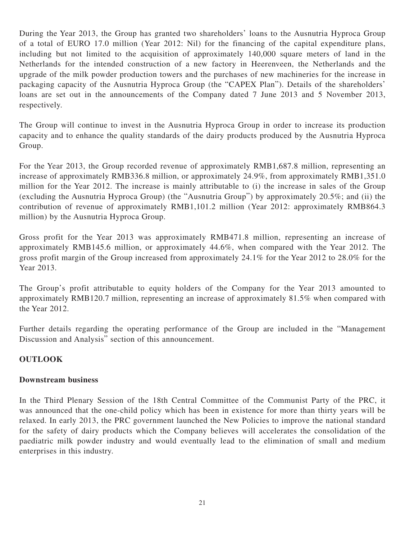During the Year 2013, the Group has granted two shareholders' loans to the Ausnutria Hyproca Group of a total of EURO 17.0 million (Year 2012: Nil) for the financing of the capital expenditure plans, including but not limited to the acquisition of approximately 140,000 square meters of land in the Netherlands for the intended construction of a new factory in Heerenveen, the Netherlands and the upgrade of the milk powder production towers and the purchases of new machineries for the increase in packaging capacity of the Ausnutria Hyproca Group (the "CAPEX Plan"). Details of the shareholders' loans are set out in the announcements of the Company dated 7 June 2013 and 5 November 2013, respectively.

The Group will continue to invest in the Ausnutria Hyproca Group in order to increase its production capacity and to enhance the quality standards of the dairy products produced by the Ausnutria Hyproca Group.

For the Year 2013, the Group recorded revenue of approximately RMB1,687.8 million, representing an increase of approximately RMB336.8 million, or approximately 24.9%, from approximately RMB1,351.0 million for the Year 2012. The increase is mainly attributable to (i) the increase in sales of the Group (excluding the Ausnutria Hyproca Group) (the "Ausnutria Group") by approximately 20.5%; and (ii) the contribution of revenue of approximately RMB1,101.2 million (Year 2012: approximately RMB864.3 million) by the Ausnutria Hyproca Group.

Gross profit for the Year 2013 was approximately RMB471.8 million, representing an increase of approximately RMB145.6 million, or approximately 44.6%, when compared with the Year 2012. The gross profit margin of the Group increased from approximately 24.1% for the Year 2012 to 28.0% for the Year 2013.

The Group's profit attributable to equity holders of the Company for the Year 2013 amounted to approximately RMB120.7 million, representing an increase of approximately 81.5% when compared with the Year 2012.

Further details regarding the operating performance of the Group are included in the "Management Discussion and Analysis" section of this announcement.

## **OUTLOOK**

## **Downstream business**

In the Third Plenary Session of the 18th Central Committee of the Communist Party of the PRC, it was announced that the one-child policy which has been in existence for more than thirty years will be relaxed. In early 2013, the PRC government launched the New Policies to improve the national standard for the safety of dairy products which the Company believes will accelerates the consolidation of the paediatric milk powder industry and would eventually lead to the elimination of small and medium enterprises in this industry.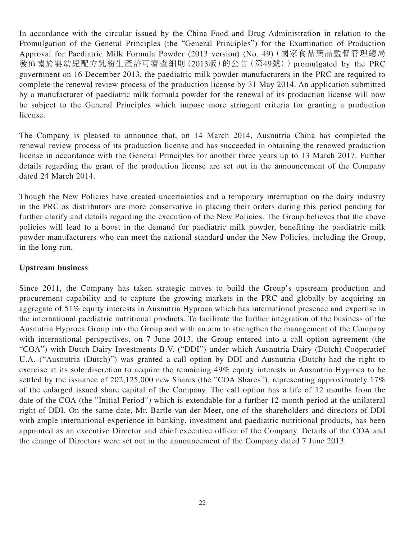In accordance with the circular issued by the China Food and Drug Administration in relation to the Promulgation of the General Principles (the "General Principles") for the Examination of Production Approval for Paediatric Milk Formula Powder (2013 version) (No. 49)(國家食品藥品監督管理總局 發佈關於嬰幼兒配方乳粉生產許可審查細則(2013版)的公告(第49號))promulgated by the PRC government on 16 December 2013, the paediatric milk powder manufacturers in the PRC are required to complete the renewal review process of the production license by 31 May 2014. An application submitted by a manufacturer of paediatric milk formula powder for the renewal of its production license will now be subject to the General Principles which impose more stringent criteria for granting a production license.

The Company is pleased to announce that, on 14 March 2014, Ausnutria China has completed the renewal review process of its production license and has succeeded in obtaining the renewed production license in accordance with the General Principles for another three years up to 13 March 2017. Further details regarding the grant of the production license are set out in the announcement of the Company dated 24 March 2014.

Though the New Policies have created uncertainties and a temporary interruption on the dairy industry in the PRC as distributors are more conservative in placing their orders during this period pending for further clarify and details regarding the execution of the New Policies. The Group believes that the above policies will lead to a boost in the demand for paediatric milk powder, benefiting the paediatric milk powder manufacturers who can meet the national standard under the New Policies, including the Group, in the long run.

#### **Upstream business**

Since 2011, the Company has taken strategic moves to build the Group's upstream production and procurement capability and to capture the growing markets in the PRC and globally by acquiring an aggregate of 51% equity interests in Ausnutria Hyproca which has international presence and expertise in the international paediatric nutritional products. To facilitate the further integration of the business of the Ausnutria Hyproca Group into the Group and with an aim to strengthen the management of the Company with international perspectives, on 7 June 2013, the Group entered into a call option agreement (the "COA") with Dutch Dairy Investments B.V. ("DDI") under which Ausnutria Dairy (Dutch) Coöperatief U.A. ("Ausnutria (Dutch)") was granted a call option by DDI and Ausnutria (Dutch) had the right to exercise at its sole discretion to acquire the remaining 49% equity interests in Ausnutria Hyproca to be settled by the issuance of 202,125,000 new Shares (the "COA Shares"), representing approximately 17% of the enlarged issued share capital of the Company. The call option has a life of 12 months from the date of the COA (the "Initial Period") which is extendable for a further 12-month period at the unilateral right of DDI. On the same date, Mr. Bartle van der Meer, one of the shareholders and directors of DDI with ample international experience in banking, investment and paediatric nutritional products, has been appointed as an executive Director and chief executive officer of the Company. Details of the COA and the change of Directors were set out in the announcement of the Company dated 7 June 2013.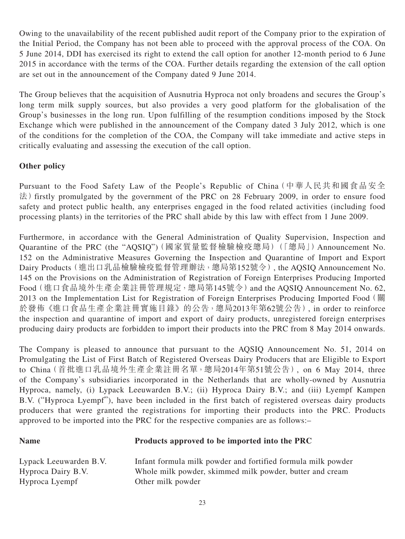Owing to the unavailability of the recent published audit report of the Company prior to the expiration of the Initial Period, the Company has not been able to proceed with the approval process of the COA. On 5 June 2014, DDI has exercised its right to extend the call option for another 12-month period to 6 June 2015 in accordance with the terms of the COA. Further details regarding the extension of the call option are set out in the announcement of the Company dated 9 June 2014.

The Group believes that the acquisition of Ausnutria Hyproca not only broadens and secures the Group's long term milk supply sources, but also provides a very good platform for the globalisation of the Group's businesses in the long run. Upon fulfilling of the resumption conditions imposed by the Stock Exchange which were published in the announcement of the Company dated 3 July 2012, which is one of the conditions for the completion of the COA, the Company will take immediate and active steps in critically evaluating and assessing the execution of the call option.

## **Other policy**

Pursuant to the Food Safety Law of the People's Republic of China(中華人民共和國食品安全 法) firstly promulgated by the government of the PRC on 28 February 2009, in order to ensure food safety and protect public health, any enterprises engaged in the food related activities (including food processing plants) in the territories of the PRC shall abide by this law with effect from 1 June 2009.

Furthermore, in accordance with the General Administration of Quality Supervision, Inspection and Quarantine of the PRC (the "AQSIQ")(國家質量監督檢驗檢疫總局)(「總局」) Announcement No. 152 on the Administrative Measures Governing the Inspection and Quarantine of Import and Export Dairy Products(進出口乳品檢驗檢疫監督管理辦法,總局第152號令), the AQSIQ Announcement No. 145 on the Provisions on the Administration of Registration of Foreign Enterprises Producing Imported Food(進口食品境外生產企業註冊管理規定,總局第145號令)and the AQSIQ Announcement No. 62, 2013 on the Implementation List for Registration of Foreign Enterprises Producing Imported Food (關 於發佈《進口食品生產企業註冊實施目錄》的公告,總局2013年第62號公告), in order to reinforce the inspection and quarantine of import and export of dairy products, unregistered foreign enterprises producing dairy products are forbidden to import their products into the PRC from 8 May 2014 onwards.

The Company is pleased to announce that pursuant to the AQSIQ Announcement No. 51, 2014 on Promulgating the List of First Batch of Registered Overseas Dairy Producers that are Eligible to Export to China(首批進口乳品境外生產企業註冊名單,總局2014年第51號公告), on 6 May 2014, three of the Company's subsidiaries incorporated in the Netherlands that are wholly-owned by Ausnutria Hyproca, namely, (i) Lypack Leeuwarden B.V.; (ii) Hyproca Dairy B.V.; and (iii) Lyempf Kampen B.V. ("Hyproca Lyempf"), have been included in the first batch of registered overseas dairy products producers that were granted the registrations for importing their products into the PRC. Products approved to be imported into the PRC for the respective companies are as follows:–

## **Name Products approved to be imported into the PRC**

Hyproca Lyempf Other milk powder

Lypack Leeuwarden B.V. Infant formula milk powder and fortified formula milk powder Hyproca Dairy B.V. Whole milk powder, skimmed milk powder, butter and cream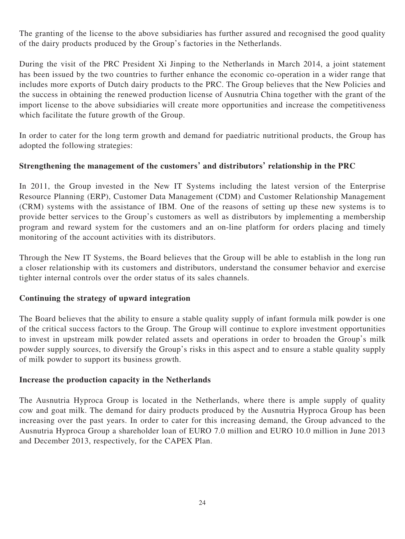The granting of the license to the above subsidiaries has further assured and recognised the good quality of the dairy products produced by the Group's factories in the Netherlands.

During the visit of the PRC President Xi Jinping to the Netherlands in March 2014, a joint statement has been issued by the two countries to further enhance the economic co-operation in a wider range that includes more exports of Dutch dairy products to the PRC. The Group believes that the New Policies and the success in obtaining the renewed production license of Ausnutria China together with the grant of the import license to the above subsidiaries will create more opportunities and increase the competitiveness which facilitate the future growth of the Group.

In order to cater for the long term growth and demand for paediatric nutritional products, the Group has adopted the following strategies:

## **Strengthening the management of the customers' and distributors' relationship in the PRC**

In 2011, the Group invested in the New IT Systems including the latest version of the Enterprise Resource Planning (ERP), Customer Data Management (CDM) and Customer Relationship Management (CRM) systems with the assistance of IBM. One of the reasons of setting up these new systems is to provide better services to the Group's customers as well as distributors by implementing a membership program and reward system for the customers and an on-line platform for orders placing and timely monitoring of the account activities with its distributors.

Through the New IT Systems, the Board believes that the Group will be able to establish in the long run a closer relationship with its customers and distributors, understand the consumer behavior and exercise tighter internal controls over the order status of its sales channels.

## **Continuing the strategy of upward integration**

The Board believes that the ability to ensure a stable quality supply of infant formula milk powder is one of the critical success factors to the Group. The Group will continue to explore investment opportunities to invest in upstream milk powder related assets and operations in order to broaden the Group's milk powder supply sources, to diversify the Group's risks in this aspect and to ensure a stable quality supply of milk powder to support its business growth.

## **Increase the production capacity in the Netherlands**

The Ausnutria Hyproca Group is located in the Netherlands, where there is ample supply of quality cow and goat milk. The demand for dairy products produced by the Ausnutria Hyproca Group has been increasing over the past years. In order to cater for this increasing demand, the Group advanced to the Ausnutria Hyproca Group a shareholder loan of EURO 7.0 million and EURO 10.0 million in June 2013 and December 2013, respectively, for the CAPEX Plan.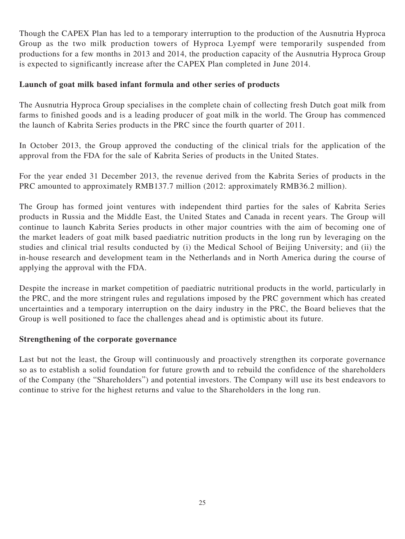Though the CAPEX Plan has led to a temporary interruption to the production of the Ausnutria Hyproca Group as the two milk production towers of Hyproca Lyempf were temporarily suspended from productions for a few months in 2013 and 2014, the production capacity of the Ausnutria Hyproca Group is expected to significantly increase after the CAPEX Plan completed in June 2014.

## **Launch of goat milk based infant formula and other series of products**

The Ausnutria Hyproca Group specialises in the complete chain of collecting fresh Dutch goat milk from farms to finished goods and is a leading producer of goat milk in the world. The Group has commenced the launch of Kabrita Series products in the PRC since the fourth quarter of 2011.

In October 2013, the Group approved the conducting of the clinical trials for the application of the approval from the FDA for the sale of Kabrita Series of products in the United States.

For the year ended 31 December 2013, the revenue derived from the Kabrita Series of products in the PRC amounted to approximately RMB137.7 million (2012: approximately RMB36.2 million).

The Group has formed joint ventures with independent third parties for the sales of Kabrita Series products in Russia and the Middle East, the United States and Canada in recent years. The Group will continue to launch Kabrita Series products in other major countries with the aim of becoming one of the market leaders of goat milk based paediatric nutrition products in the long run by leveraging on the studies and clinical trial results conducted by (i) the Medical School of Beijing University; and (ii) the in-house research and development team in the Netherlands and in North America during the course of applying the approval with the FDA.

Despite the increase in market competition of paediatric nutritional products in the world, particularly in the PRC, and the more stringent rules and regulations imposed by the PRC government which has created uncertainties and a temporary interruption on the dairy industry in the PRC, the Board believes that the Group is well positioned to face the challenges ahead and is optimistic about its future.

## **Strengthening of the corporate governance**

Last but not the least, the Group will continuously and proactively strengthen its corporate governance so as to establish a solid foundation for future growth and to rebuild the confidence of the shareholders of the Company (the "Shareholders") and potential investors. The Company will use its best endeavors to continue to strive for the highest returns and value to the Shareholders in the long run.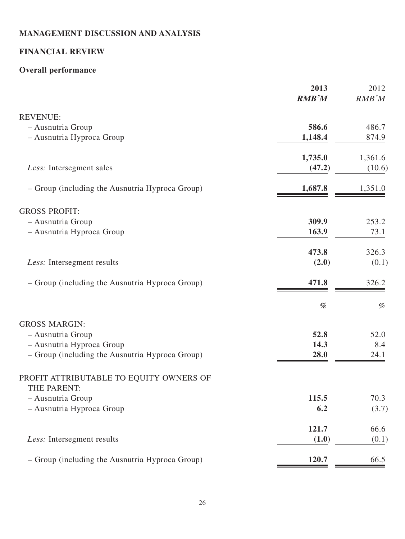# **MANAGEMENT DISCUSSION AND ANALYSIS**

# **FINANCIAL REVIEW**

# **Overall performance**

|                                                 | 2013<br><b>RMB'M</b> | 2012<br>RMB'M |
|-------------------------------------------------|----------------------|---------------|
| <b>REVENUE:</b>                                 |                      |               |
| - Ausnutria Group                               | 586.6                | 486.7         |
| - Ausnutria Hyproca Group                       | 1,148.4              | 874.9         |
|                                                 | 1,735.0              | 1,361.6       |
| Less: Intersegment sales                        | (47.2)               | (10.6)        |
| - Group (including the Ausnutria Hyproca Group) | 1,687.8              | 1,351.0       |
| <b>GROSS PROFIT:</b>                            |                      |               |
| - Ausnutria Group                               | 309.9                | 253.2         |
| - Ausnutria Hyproca Group                       | 163.9                | 73.1          |
|                                                 | 473.8                | 326.3         |
| Less: Intersegment results                      | (2.0)                | (0.1)         |
| - Group (including the Ausnutria Hyproca Group) | 471.8                | 326.2         |
|                                                 | %                    | $\%$          |
| <b>GROSS MARGIN:</b>                            |                      |               |
| - Ausnutria Group                               | 52.8                 | 52.0          |
| - Ausnutria Hyproca Group                       | 14.3                 | 8.4           |
| - Group (including the Ausnutria Hyproca Group) | 28.0                 | 24.1          |
| PROFIT ATTRIBUTABLE TO EQUITY OWNERS OF         |                      |               |
| THE PARENT:                                     |                      |               |
| - Ausnutria Group<br>- Ausnutria Hyproca Group  | 115.5<br>6.2         | 70.3<br>(3.7) |
|                                                 |                      |               |
|                                                 | 121.7                | 66.6          |
| Less: Intersegment results                      | (1.0)                | (0.1)         |
| - Group (including the Ausnutria Hyproca Group) | 120.7                | 66.5          |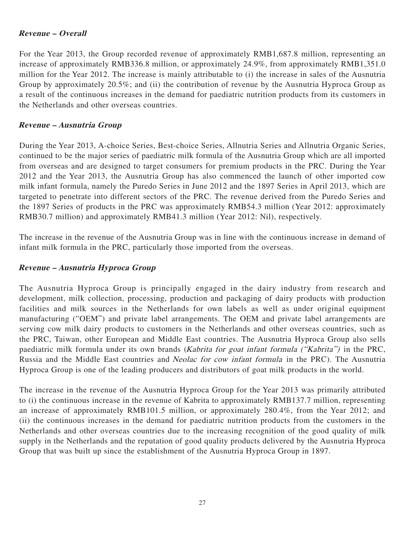#### **Revenue – Overall**

For the Year 2013, the Group recorded revenue of approximately RMB1,687.8 million, representing an increase of approximately RMB336.8 million, or approximately 24.9%, from approximately RMB1,351.0 million for the Year 2012. The increase is mainly attributable to (i) the increase in sales of the Ausnutria Group by approximately 20.5%; and (ii) the contribution of revenue by the Ausnutria Hyproca Group as a result of the continuous increases in the demand for paediatric nutrition products from its customers in the Netherlands and other overseas countries.

#### **Revenue – Ausnutria Group**

During the Year 2013, A-choice Series, Best-choice Series, Allnutria Series and Allnutria Organic Series, continued to be the major series of paediatric milk formula of the Ausnutria Group which are all imported from overseas and are designed to target consumers for premium products in the PRC. During the Year 2012 and the Year 2013, the Ausnutria Group has also commenced the launch of other imported cow milk infant formula, namely the Puredo Series in June 2012 and the 1897 Series in April 2013, which are targeted to penetrate into different sectors of the PRC. The revenue derived from the Puredo Series and the 1897 Series of products in the PRC was approximately RMB54.3 million (Year 2012: approximately RMB30.7 million) and approximately RMB41.3 million (Year 2012: Nil), respectively.

The increase in the revenue of the Ausnutria Group was in line with the continuous increase in demand of infant milk formula in the PRC, particularly those imported from the overseas.

#### **Revenue – Ausnutria Hyproca Group**

The Ausnutria Hyproca Group is principally engaged in the dairy industry from research and development, milk collection, processing, production and packaging of dairy products with production facilities and milk sources in the Netherlands for own labels as well as under original equipment manufacturing ("OEM") and private label arrangements. The OEM and private label arrangements are serving cow milk dairy products to customers in the Netherlands and other overseas countries, such as the PRC, Taiwan, other European and Middle East countries. The Ausnutria Hyproca Group also sells paediatric milk formula under its own brands (Kabrita for goat infant formula ("Kabrita") in the PRC, Russia and the Middle East countries and Neolac for cow infant formula in the PRC). The Ausnutria Hyproca Group is one of the leading producers and distributors of goat milk products in the world.

The increase in the revenue of the Ausnutria Hyproca Group for the Year 2013 was primarily attributed to (i) the continuous increase in the revenue of Kabrita to approximately RMB137.7 million, representing an increase of approximately RMB101.5 million, or approximately 280.4%, from the Year 2012; and (ii) the continuous increases in the demand for paediatric nutrition products from the customers in the Netherlands and other overseas countries due to the increasing recognition of the good quality of milk supply in the Netherlands and the reputation of good quality products delivered by the Ausnutria Hyproca Group that was built up since the establishment of the Ausnutria Hyproca Group in 1897.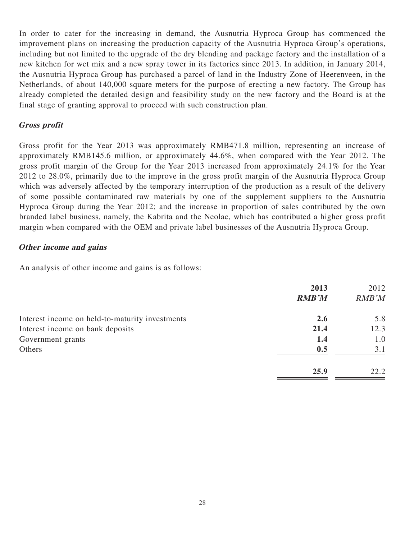In order to cater for the increasing in demand, the Ausnutria Hyproca Group has commenced the improvement plans on increasing the production capacity of the Ausnutria Hyproca Group's operations, including but not limited to the upgrade of the dry blending and package factory and the installation of a new kitchen for wet mix and a new spray tower in its factories since 2013. In addition, in January 2014, the Ausnutria Hyproca Group has purchased a parcel of land in the Industry Zone of Heerenveen, in the Netherlands, of about 140,000 square meters for the purpose of erecting a new factory. The Group has already completed the detailed design and feasibility study on the new factory and the Board is at the final stage of granting approval to proceed with such construction plan.

#### **Gross profit**

Gross profit for the Year 2013 was approximately RMB471.8 million, representing an increase of approximately RMB145.6 million, or approximately 44.6%, when compared with the Year 2012. The gross profit margin of the Group for the Year 2013 increased from approximately 24.1% for the Year 2012 to 28.0%, primarily due to the improve in the gross profit margin of the Ausnutria Hyproca Group which was adversely affected by the temporary interruption of the production as a result of the delivery of some possible contaminated raw materials by one of the supplement suppliers to the Ausnutria Hyproca Group during the Year 2012; and the increase in proportion of sales contributed by the own branded label business, namely, the Kabrita and the Neolac, which has contributed a higher gross profit margin when compared with the OEM and private label businesses of the Ausnutria Hyproca Group.

#### **Other income and gains**

An analysis of other income and gains is as follows:

|                                                 | 2013<br><b>RMB'M</b> | 2012<br>RMB'M |
|-------------------------------------------------|----------------------|---------------|
| Interest income on held-to-maturity investments | 2.6                  | 5.8           |
| Interest income on bank deposits                | 21.4                 | 12.3          |
| Government grants                               | 1.4                  | 1.0           |
| Others                                          | 0.5                  | 3.1           |
|                                                 | 25.9                 | 22.2          |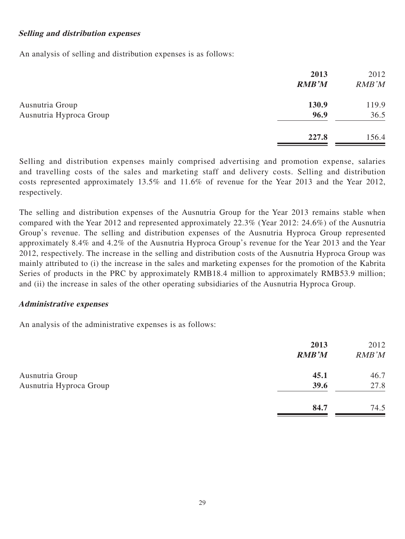#### **Selling and distribution expenses**

An analysis of selling and distribution expenses is as follows:

|                         | 2013<br><b>RMB'M</b> | 2012<br>RMB'M |
|-------------------------|----------------------|---------------|
| Ausnutria Group         | 130.9                | 119.9         |
| Ausnutria Hyproca Group | 96.9                 | 36.5          |
|                         | 227.8                | 156.4         |

Selling and distribution expenses mainly comprised advertising and promotion expense, salaries and travelling costs of the sales and marketing staff and delivery costs. Selling and distribution costs represented approximately 13.5% and 11.6% of revenue for the Year 2013 and the Year 2012, respectively.

The selling and distribution expenses of the Ausnutria Group for the Year 2013 remains stable when compared with the Year 2012 and represented approximately 22.3% (Year 2012: 24.6%) of the Ausnutria Group's revenue. The selling and distribution expenses of the Ausnutria Hyproca Group represented approximately 8.4% and 4.2% of the Ausnutria Hyproca Group's revenue for the Year 2013 and the Year 2012, respectively. The increase in the selling and distribution costs of the Ausnutria Hyproca Group was mainly attributed to (i) the increase in the sales and marketing expenses for the promotion of the Kabrita Series of products in the PRC by approximately RMB18.4 million to approximately RMB53.9 million; and (ii) the increase in sales of the other operating subsidiaries of the Ausnutria Hyproca Group.

#### **Administrative expenses**

An analysis of the administrative expenses is as follows:

|                         | 2013<br><b>RMB'M</b> | 2012<br>RMB'M |
|-------------------------|----------------------|---------------|
| Ausnutria Group         | 45.1                 | 46.7          |
| Ausnutria Hyproca Group | 39.6                 | 27.8          |
|                         | 84.7                 | 74.5          |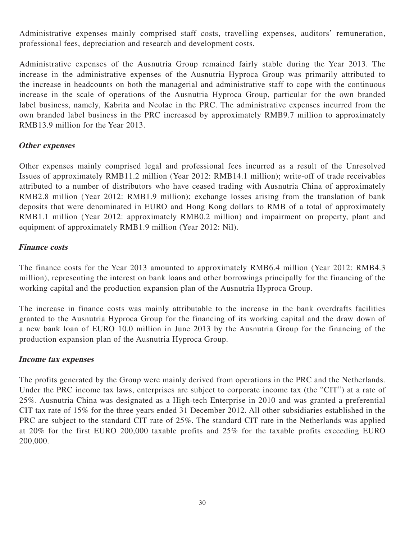Administrative expenses mainly comprised staff costs, travelling expenses, auditors' remuneration, professional fees, depreciation and research and development costs.

Administrative expenses of the Ausnutria Group remained fairly stable during the Year 2013. The increase in the administrative expenses of the Ausnutria Hyproca Group was primarily attributed to the increase in headcounts on both the managerial and administrative staff to cope with the continuous increase in the scale of operations of the Ausnutria Hyproca Group, particular for the own branded label business, namely, Kabrita and Neolac in the PRC. The administrative expenses incurred from the own branded label business in the PRC increased by approximately RMB9.7 million to approximately RMB13.9 million for the Year 2013.

#### **Other expenses**

Other expenses mainly comprised legal and professional fees incurred as a result of the Unresolved Issues of approximately RMB11.2 million (Year 2012: RMB14.1 million); write-off of trade receivables attributed to a number of distributors who have ceased trading with Ausnutria China of approximately RMB2.8 million (Year 2012: RMB1.9 million); exchange losses arising from the translation of bank deposits that were denominated in EURO and Hong Kong dollars to RMB of a total of approximately RMB1.1 million (Year 2012: approximately RMB0.2 million) and impairment on property, plant and equipment of approximately RMB1.9 million (Year 2012: Nil).

#### **Finance costs**

The finance costs for the Year 2013 amounted to approximately RMB6.4 million (Year 2012: RMB4.3 million), representing the interest on bank loans and other borrowings principally for the financing of the working capital and the production expansion plan of the Ausnutria Hyproca Group.

The increase in finance costs was mainly attributable to the increase in the bank overdrafts facilities granted to the Ausnutria Hyproca Group for the financing of its working capital and the draw down of a new bank loan of EURO 10.0 million in June 2013 by the Ausnutria Group for the financing of the production expansion plan of the Ausnutria Hyproca Group.

#### **Income tax expenses**

The profits generated by the Group were mainly derived from operations in the PRC and the Netherlands. Under the PRC income tax laws, enterprises are subject to corporate income tax (the "CIT") at a rate of 25%. Ausnutria China was designated as a High-tech Enterprise in 2010 and was granted a preferential CIT tax rate of 15% for the three years ended 31 December 2012. All other subsidiaries established in the PRC are subject to the standard CIT rate of 25%. The standard CIT rate in the Netherlands was applied at 20% for the first EURO 200,000 taxable profits and 25% for the taxable profits exceeding EURO 200,000.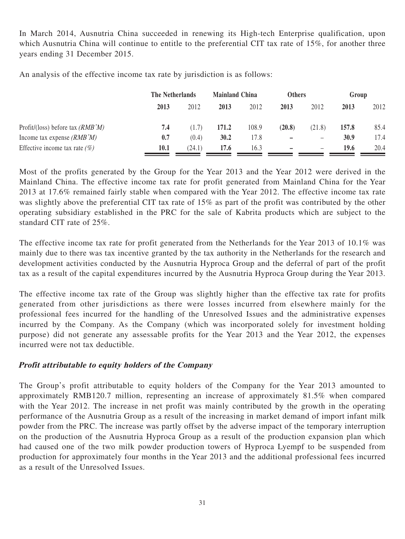In March 2014, Ausnutria China succeeded in renewing its High-tech Enterprise qualification, upon which Ausnutria China will continue to entitle to the preferential CIT tax rate of 15%, for another three years ending 31 December 2015.

An analysis of the effective income tax rate by jurisdiction is as follows:

|                                    | The Netherlands |        | <b>Mainland China</b> |       | <b>Others</b>            |                   |       | Group |
|------------------------------------|-----------------|--------|-----------------------|-------|--------------------------|-------------------|-------|-------|
|                                    | 2013            | 2012   | 2013                  | 2012  | 2013                     | 2012              | 2013  | 2012  |
| Profit/(loss) before tax $(RMB'M)$ | 7.4             | (1.7)  | 171.2                 | 108.9 | (20.8)                   | (21.8)            | 157.8 | 85.4  |
| Income tax expense $(RMB'M)$       | 0.7             | (0.4)  | 30.2                  | 17.8  | $\overline{\phantom{0}}$ | $\qquad \qquad -$ | 30.9  | 17.4  |
| Effective income tax rate $(\%)$   | 10.1            | (24.1) | 17.6                  | 16.3  | -                        | $\qquad \qquad -$ | 19.6  | 20.4  |

Most of the profits generated by the Group for the Year 2013 and the Year 2012 were derived in the Mainland China. The effective income tax rate for profit generated from Mainland China for the Year 2013 at 17.6% remained fairly stable when compared with the Year 2012. The effective income tax rate was slightly above the preferential CIT tax rate of 15% as part of the profit was contributed by the other operating subsidiary established in the PRC for the sale of Kabrita products which are subject to the standard CIT rate of 25%.

The effective income tax rate for profit generated from the Netherlands for the Year 2013 of 10.1% was mainly due to there was tax incentive granted by the tax authority in the Netherlands for the research and development activities conducted by the Ausnutria Hyproca Group and the deferral of part of the profit tax as a result of the capital expenditures incurred by the Ausnutria Hyproca Group during the Year 2013.

The effective income tax rate of the Group was slightly higher than the effective tax rate for profits generated from other jurisdictions as there were losses incurred from elsewhere mainly for the professional fees incurred for the handling of the Unresolved Issues and the administrative expenses incurred by the Company. As the Company (which was incorporated solely for investment holding purpose) did not generate any assessable profits for the Year 2013 and the Year 2012, the expenses incurred were not tax deductible.

## **Profit attributable to equity holders of the Company**

The Group's profit attributable to equity holders of the Company for the Year 2013 amounted to approximately RMB120.7 million, representing an increase of approximately 81.5% when compared with the Year 2012. The increase in net profit was mainly contributed by the growth in the operating performance of the Ausnutria Group as a result of the increasing in market demand of import infant milk powder from the PRC. The increase was partly offset by the adverse impact of the temporary interruption on the production of the Ausnutria Hyproca Group as a result of the production expansion plan which had caused one of the two milk powder production towers of Hyproca Lyempf to be suspended from production for approximately four months in the Year 2013 and the additional professional fees incurred as a result of the Unresolved Issues.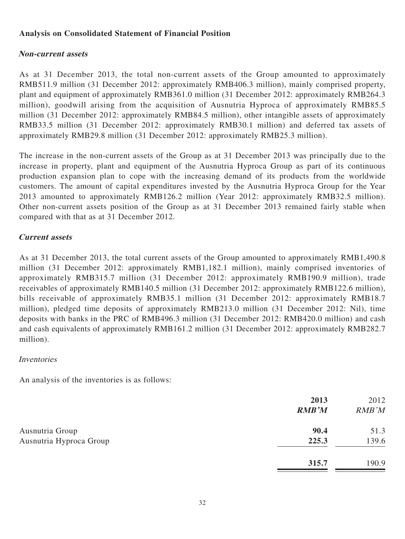## **Analysis on Consolidated Statement of Financial Position**

## **Non-current assets**

As at 31 December 2013, the total non-current assets of the Group amounted to approximately RMB511.9 million (31 December 2012: approximately RMB406.3 million), mainly comprised property, plant and equipment of approximately RMB361.0 million (31 December 2012: approximately RMB264.3 million), goodwill arising from the acquisition of Ausnutria Hyproca of approximately RMB85.5 million (31 December 2012: approximately RMB84.5 million), other intangible assets of approximately RMB33.5 million (31 December 2012: approximately RMB30.1 million) and deferred tax assets of approximately RMB29.8 million (31 December 2012: approximately RMB25.3 million).

The increase in the non-current assets of the Group as at 31 December 2013 was principally due to the increase in property, plant and equipment of the Ausnutria Hyproca Group as part of its continuous production expansion plan to cope with the increasing demand of its products from the worldwide customers. The amount of capital expenditures invested by the Ausnutria Hyproca Group for the Year 2013 amounted to approximately RMB126.2 million (Year 2012: approximately RMB32.5 million). Other non-current assets position of the Group as at 31 December 2013 remained fairly stable when compared with that as at 31 December 2012.

## **Current assets**

As at 31 December 2013, the total current assets of the Group amounted to approximately RMB1,490.8 million (31 December 2012: approximately RMB1,182.1 million), mainly comprised inventories of approximately RMB315.7 million (31 December 2012: approximately RMB190.9 million), trade receivables of approximately RMB140.5 million (31 December 2012: approximately RMB122.6 million), bills receivable of approximately RMB35.1 million (31 December 2012: approximately RMB18.7 million), pledged time deposits of approximately RMB213.0 million (31 December 2012: Nil), time deposits with banks in the PRC of RMB496.3 million (31 December 2012: RMB420.0 million) and cash and cash equivalents of approximately RMB161.2 million (31 December 2012: approximately RMB282.7 million).

## Inventories

An analysis of the inventories is as follows:

|                         | 2013<br><b>RMB'M</b> | 2012<br>RMB'M |
|-------------------------|----------------------|---------------|
| Ausnutria Group         | 90.4                 | 51.3          |
| Ausnutria Hyproca Group | 225.3                | 139.6         |
|                         | 315.7                | 190.9         |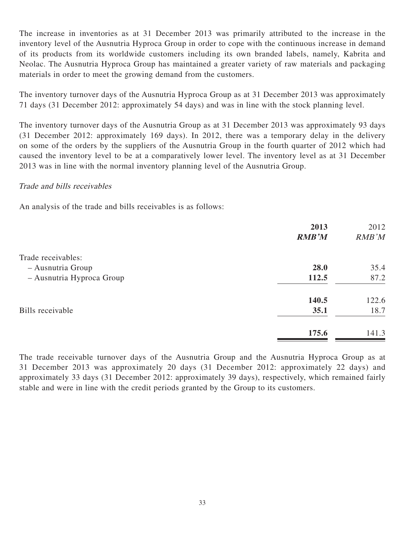The increase in inventories as at 31 December 2013 was primarily attributed to the increase in the inventory level of the Ausnutria Hyproca Group in order to cope with the continuous increase in demand of its products from its worldwide customers including its own branded labels, namely, Kabrita and Neolac. The Ausnutria Hyproca Group has maintained a greater variety of raw materials and packaging materials in order to meet the growing demand from the customers.

The inventory turnover days of the Ausnutria Hyproca Group as at 31 December 2013 was approximately 71 days (31 December 2012: approximately 54 days) and was in line with the stock planning level.

The inventory turnover days of the Ausnutria Group as at 31 December 2013 was approximately 93 days (31 December 2012: approximately 169 days). In 2012, there was a temporary delay in the delivery on some of the orders by the suppliers of the Ausnutria Group in the fourth quarter of 2012 which had caused the inventory level to be at a comparatively lower level. The inventory level as at 31 December 2013 was in line with the normal inventory planning level of the Ausnutria Group.

#### Trade and bills receivables

An analysis of the trade and bills receivables is as follows:

|                           | 2013<br><b>RMB'M</b> | 2012<br>RMB'M |
|---------------------------|----------------------|---------------|
| Trade receivables:        |                      |               |
| - Ausnutria Group         | 28.0                 | 35.4          |
| - Ausnutria Hyproca Group | 112.5                | 87.2          |
|                           | 140.5                | 122.6         |
| Bills receivable          | 35.1                 | 18.7          |
|                           | 175.6                | 141.3         |

The trade receivable turnover days of the Ausnutria Group and the Ausnutria Hyproca Group as at 31 December 2013 was approximately 20 days (31 December 2012: approximately 22 days) and approximately 33 days (31 December 2012: approximately 39 days), respectively, which remained fairly stable and were in line with the credit periods granted by the Group to its customers.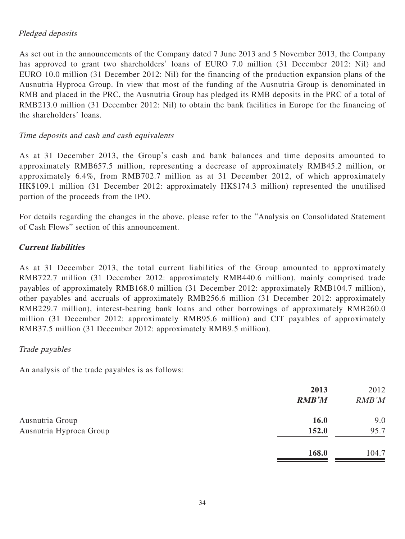## Pledged deposits

As set out in the announcements of the Company dated 7 June 2013 and 5 November 2013, the Company has approved to grant two shareholders' loans of EURO 7.0 million (31 December 2012: Nil) and EURO 10.0 million (31 December 2012: Nil) for the financing of the production expansion plans of the Ausnutria Hyproca Group. In view that most of the funding of the Ausnutria Group is denominated in RMB and placed in the PRC, the Ausnutria Group has pledged its RMB deposits in the PRC of a total of RMB213.0 million (31 December 2012: Nil) to obtain the bank facilities in Europe for the financing of the shareholders' loans.

## Time deposits and cash and cash equivalents

As at 31 December 2013, the Group's cash and bank balances and time deposits amounted to approximately RMB657.5 million, representing a decrease of approximately RMB45.2 million, or approximately 6.4%, from RMB702.7 million as at 31 December 2012, of which approximately HK\$109.1 million (31 December 2012: approximately HK\$174.3 million) represented the unutilised portion of the proceeds from the IPO.

For details regarding the changes in the above, please refer to the "Analysis on Consolidated Statement of Cash Flows" section of this announcement.

## **Current liabilities**

As at 31 December 2013, the total current liabilities of the Group amounted to approximately RMB722.7 million (31 December 2012: approximately RMB440.6 million), mainly comprised trade payables of approximately RMB168.0 million (31 December 2012: approximately RMB104.7 million), other payables and accruals of approximately RMB256.6 million (31 December 2012: approximately RMB229.7 million), interest-bearing bank loans and other borrowings of approximately RMB260.0 million (31 December 2012: approximately RMB95.6 million) and CIT payables of approximately RMB37.5 million (31 December 2012: approximately RMB9.5 million).

## Trade payables

An analysis of the trade payables is as follows:

|                         | 2013<br><b>RMB'M</b> | 2012<br>RMB'M |
|-------------------------|----------------------|---------------|
| Ausnutria Group         | <b>16.0</b>          | 9.0           |
| Ausnutria Hyproca Group | 152.0                | 95.7          |
|                         | 168.0                | 104.7         |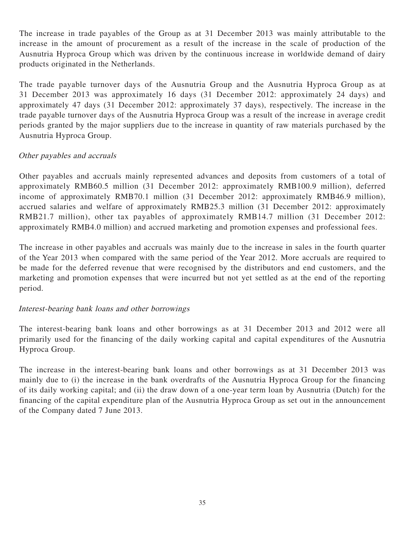The increase in trade payables of the Group as at 31 December 2013 was mainly attributable to the increase in the amount of procurement as a result of the increase in the scale of production of the Ausnutria Hyproca Group which was driven by the continuous increase in worldwide demand of dairy products originated in the Netherlands.

The trade payable turnover days of the Ausnutria Group and the Ausnutria Hyproca Group as at 31 December 2013 was approximately 16 days (31 December 2012: approximately 24 days) and approximately 47 days (31 December 2012: approximately 37 days), respectively. The increase in the trade payable turnover days of the Ausnutria Hyproca Group was a result of the increase in average credit periods granted by the major suppliers due to the increase in quantity of raw materials purchased by the Ausnutria Hyproca Group.

## Other payables and accruals

Other payables and accruals mainly represented advances and deposits from customers of a total of approximately RMB60.5 million (31 December 2012: approximately RMB100.9 million), deferred income of approximately RMB70.1 million (31 December 2012: approximately RMB46.9 million), accrued salaries and welfare of approximately RMB25.3 million (31 December 2012: approximately RMB21.7 million), other tax payables of approximately RMB14.7 million (31 December 2012: approximately RMB4.0 million) and accrued marketing and promotion expenses and professional fees.

The increase in other payables and accruals was mainly due to the increase in sales in the fourth quarter of the Year 2013 when compared with the same period of the Year 2012. More accruals are required to be made for the deferred revenue that were recognised by the distributors and end customers, and the marketing and promotion expenses that were incurred but not yet settled as at the end of the reporting period.

## Interest-bearing bank loans and other borrowings

The interest-bearing bank loans and other borrowings as at 31 December 2013 and 2012 were all primarily used for the financing of the daily working capital and capital expenditures of the Ausnutria Hyproca Group.

The increase in the interest-bearing bank loans and other borrowings as at 31 December 2013 was mainly due to (i) the increase in the bank overdrafts of the Ausnutria Hyproca Group for the financing of its daily working capital; and (ii) the draw down of a one-year term loan by Ausnutria (Dutch) for the financing of the capital expenditure plan of the Ausnutria Hyproca Group as set out in the announcement of the Company dated 7 June 2013.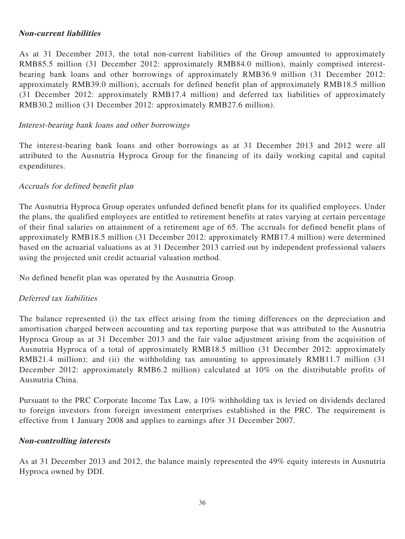#### **Non-current liabilities**

As at 31 December 2013, the total non-current liabilities of the Group amounted to approximately RMB85.5 million (31 December 2012: approximately RMB84.0 million), mainly comprised interestbearing bank loans and other borrowings of approximately RMB36.9 million (31 December 2012: approximately RMB39.0 million), accruals for defined benefit plan of approximately RMB18.5 million (31 December 2012: approximately RMB17.4 million) and deferred tax liabilities of approximately RMB30.2 million (31 December 2012: approximately RMB27.6 million).

#### Interest-bearing bank loans and other borrowings

The interest-bearing bank loans and other borrowings as at 31 December 2013 and 2012 were all attributed to the Ausnutria Hyproca Group for the financing of its daily working capital and capital expenditures.

## Accruals for defined benefit plan

The Ausnutria Hyproca Group operates unfunded defined benefit plans for its qualified employees. Under the plans, the qualified employees are entitled to retirement benefits at rates varying at certain percentage of their final salaries on attainment of a retirement age of 65. The accruals for defined benefit plans of approximately RMB18.5 million (31 December 2012: approximately RMB17.4 million) were determined based on the actuarial valuations as at 31 December 2013 carried out by independent professional valuers using the projected unit credit actuarial valuation method.

No defined benefit plan was operated by the Ausnutria Group.

## Deferred tax liabilities

The balance represented (i) the tax effect arising from the timing differences on the depreciation and amortisation charged between accounting and tax reporting purpose that was attributed to the Ausnutria Hyproca Group as at 31 December 2013 and the fair value adjustment arising from the acquisition of Ausnutria Hyproca of a total of approximately RMB18.5 million (31 December 2012: approximately RMB21.4 million); and (ii) the withholding tax amounting to approximately RMB11.7 million (31) December 2012: approximately RMB6.2 million) calculated at 10% on the distributable profits of Ausnutria China.

Pursuant to the PRC Corporate Income Tax Law, a 10% withholding tax is levied on dividends declared to foreign investors from foreign investment enterprises established in the PRC. The requirement is effective from 1 January 2008 and applies to earnings after 31 December 2007.

#### **Non-controlling interests**

As at 31 December 2013 and 2012, the balance mainly represented the 49% equity interests in Ausnutria Hyproca owned by DDI.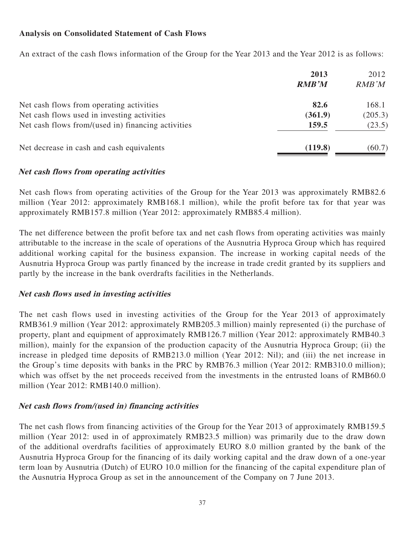## **Analysis on Consolidated Statement of Cash Flows**

An extract of the cash flows information of the Group for the Year 2013 and the Year 2012 is as follows:

|                                                    | 2013<br><b>RMB'M</b> | 2012<br>RMB'M |
|----------------------------------------------------|----------------------|---------------|
| Net cash flows from operating activities           | 82.6                 | 168.1         |
| Net cash flows used in investing activities        | (361.9)              | (205.3)       |
| Net cash flows from/(used in) financing activities | 159.5                | (23.5)        |
| Net decrease in cash and cash equivalents          | (119.8)              | (60.7)        |

#### **Net cash flows from operating activities**

Net cash flows from operating activities of the Group for the Year 2013 was approximately RMB82.6 million (Year 2012: approximately RMB168.1 million), while the profit before tax for that year was approximately RMB157.8 million (Year 2012: approximately RMB85.4 million).

The net difference between the profit before tax and net cash flows from operating activities was mainly attributable to the increase in the scale of operations of the Ausnutria Hyproca Group which has required additional working capital for the business expansion. The increase in working capital needs of the Ausnutria Hyproca Group was partly financed by the increase in trade credit granted by its suppliers and partly by the increase in the bank overdrafts facilities in the Netherlands.

## **Net cash flows used in investing activities**

The net cash flows used in investing activities of the Group for the Year 2013 of approximately RMB361.9 million (Year 2012: approximately RMB205.3 million) mainly represented (i) the purchase of property, plant and equipment of approximately RMB126.7 million (Year 2012: approximately RMB40.3 million), mainly for the expansion of the production capacity of the Ausnutria Hyproca Group; (ii) the increase in pledged time deposits of RMB213.0 million (Year 2012: Nil); and (iii) the net increase in the Group's time deposits with banks in the PRC by RMB76.3 million (Year 2012: RMB310.0 million); which was offset by the net proceeds received from the investments in the entrusted loans of RMB60.0 million (Year 2012: RMB140.0 million).

## **Net cash flows from/(used in) financing activities**

The net cash flows from financing activities of the Group for the Year 2013 of approximately RMB159.5 million (Year 2012: used in of approximately RMB23.5 million) was primarily due to the draw down of the additional overdrafts facilities of approximately EURO 8.0 million granted by the bank of the Ausnutria Hyproca Group for the financing of its daily working capital and the draw down of a one-year term loan by Ausnutria (Dutch) of EURO 10.0 million for the financing of the capital expenditure plan of the Ausnutria Hyproca Group as set in the announcement of the Company on 7 June 2013.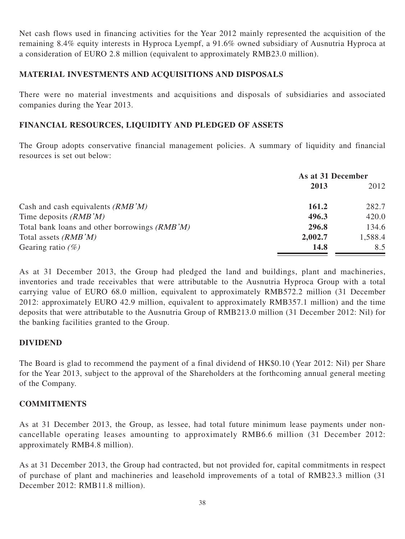Net cash flows used in financing activities for the Year 2012 mainly represented the acquisition of the remaining 8.4% equity interests in Hyproca Lyempf, a 91.6% owned subsidiary of Ausnutria Hyproca at a consideration of EURO 2.8 million (equivalent to approximately RMB23.0 million).

## **MATERIAL INVESTMENTS AND ACQUISITIONS AND DISPOSALS**

There were no material investments and acquisitions and disposals of subsidiaries and associated companies during the Year 2013.

## **FINANCIAL RESOURCES, LIQUIDITY AND PLEDGED OF ASSETS**

The Group adopts conservative financial management policies. A summary of liquidity and financial resources is set out below:

|                                               | As at 31 December |         |
|-----------------------------------------------|-------------------|---------|
|                                               | 2013              | 2012    |
| Cash and cash equivalents $(RMB'M)$           | 161.2             | 282.7   |
| Time deposits $(RMB'M)$                       | 496.3             | 420.0   |
| Total bank loans and other borrowings (RMB'M) | 296.8             | 134.6   |
| Total assets $(RMB'M)$                        | 2,002.7           | 1,588.4 |
| Gearing ratio $(\%)$                          | <b>14.8</b>       | 8.5     |

As at 31 December 2013, the Group had pledged the land and buildings, plant and machineries, inventories and trade receivables that were attributable to the Ausnutria Hyproca Group with a total carrying value of EURO 68.0 million, equivalent to approximately RMB572.2 million (31 December 2012: approximately EURO 42.9 million, equivalent to approximately RMB357.1 million) and the time deposits that were attributable to the Ausnutria Group of RMB213.0 million (31 December 2012: Nil) for the banking facilities granted to the Group.

## **DIVIDEND**

The Board is glad to recommend the payment of a final dividend of HK\$0.10 (Year 2012: Nil) per Share for the Year 2013, subject to the approval of the Shareholders at the forthcoming annual general meeting of the Company.

## **COMMITMENTS**

As at 31 December 2013, the Group, as lessee, had total future minimum lease payments under noncancellable operating leases amounting to approximately RMB6.6 million (31 December 2012: approximately RMB4.8 million).

As at 31 December 2013, the Group had contracted, but not provided for, capital commitments in respect of purchase of plant and machineries and leasehold improvements of a total of RMB23.3 million (31 December 2012: RMB11.8 million).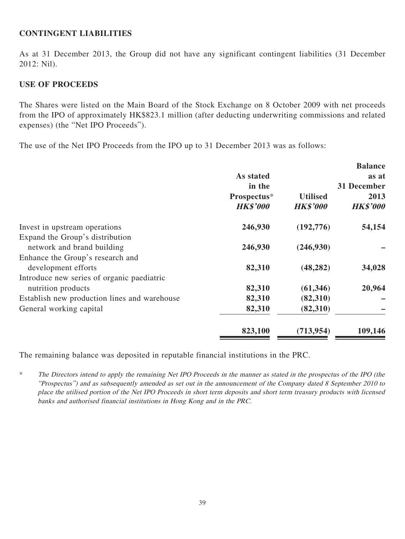#### **CONTINGENT LIABILITIES**

As at 31 December 2013, the Group did not have any significant contingent liabilities (31 December 2012: Nil).

#### **USE OF PROCEEDS**

The Shares were listed on the Main Board of the Stock Exchange on 8 October 2009 with net proceeds from the IPO of approximately HK\$823.1 million (after deducting underwriting commissions and related expenses) (the "Net IPO Proceeds").

The use of the Net IPO Proceeds from the IPO up to 31 December 2013 was as follows:

|                                              |                 |                 | <b>Balance</b>  |
|----------------------------------------------|-----------------|-----------------|-----------------|
|                                              | As stated       |                 | as at           |
|                                              | in the          |                 | 31 December     |
|                                              | Prospectus*     | <b>Utilised</b> | 2013            |
|                                              | <b>HK\$'000</b> | <b>HK\$'000</b> | <b>HK\$'000</b> |
| Invest in upstream operations                | 246,930         | (192,776)       | 54,154          |
| Expand the Group's distribution              |                 |                 |                 |
| network and brand building                   | 246,930         | (246,930)       |                 |
| Enhance the Group's research and             |                 |                 |                 |
| development efforts                          | 82,310          | (48, 282)       | 34,028          |
| Introduce new series of organic paediatric   |                 |                 |                 |
| nutrition products                           | 82,310          | (61, 346)       | 20,964          |
| Establish new production lines and warehouse | 82,310          | (82,310)        |                 |
| General working capital                      | 82,310          | (82,310)        |                 |
|                                              | 823,100         | (713, 954)      | 109,146         |

The remaining balance was deposited in reputable financial institutions in the PRC.

\* The Directors intend to apply the remaining Net IPO Proceeds in the manner as stated in the prospectus of the IPO (the "Prospectus") and as subsequently amended as set out in the announcement of the Company dated 8 September 2010 to place the utilised portion of the Net IPO Proceeds in short term deposits and short term treasury products with licensed banks and authorised financial institutions in Hong Kong and in the PRC.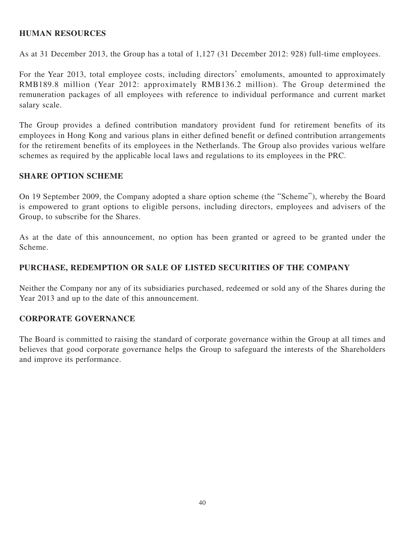#### **HUMAN RESOURCES**

As at 31 December 2013, the Group has a total of 1,127 (31 December 2012: 928) full-time employees.

For the Year 2013, total employee costs, including directors' emoluments, amounted to approximately RMB189.8 million (Year 2012: approximately RMB136.2 million). The Group determined the remuneration packages of all employees with reference to individual performance and current market salary scale.

The Group provides a defined contribution mandatory provident fund for retirement benefits of its employees in Hong Kong and various plans in either defined benefit or defined contribution arrangements for the retirement benefits of its employees in the Netherlands. The Group also provides various welfare schemes as required by the applicable local laws and regulations to its employees in the PRC.

#### **SHARE OPTION SCHEME**

On 19 September 2009, the Company adopted a share option scheme (the "Scheme"), whereby the Board is empowered to grant options to eligible persons, including directors, employees and advisers of the Group, to subscribe for the Shares.

As at the date of this announcement, no option has been granted or agreed to be granted under the Scheme.

#### **PURCHASE, REDEMPTION OR SALE OF LISTED SECURITIES OF THE COMPANY**

Neither the Company nor any of its subsidiaries purchased, redeemed or sold any of the Shares during the Year 2013 and up to the date of this announcement.

#### **CORPORATE GOVERNANCE**

The Board is committed to raising the standard of corporate governance within the Group at all times and believes that good corporate governance helps the Group to safeguard the interests of the Shareholders and improve its performance.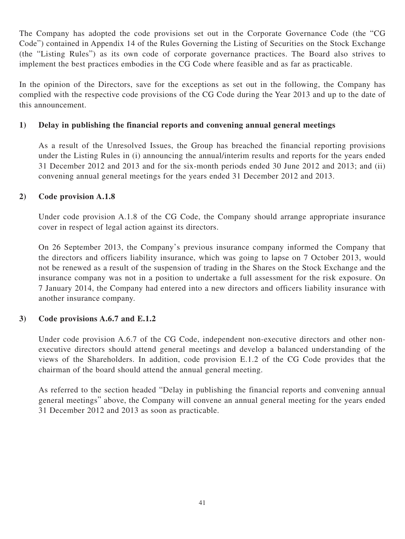The Company has adopted the code provisions set out in the Corporate Governance Code (the "CG Code") contained in Appendix 14 of the Rules Governing the Listing of Securities on the Stock Exchange (the "Listing Rules") as its own code of corporate governance practices. The Board also strives to implement the best practices embodies in the CG Code where feasible and as far as practicable.

In the opinion of the Directors, save for the exceptions as set out in the following, the Company has complied with the respective code provisions of the CG Code during the Year 2013 and up to the date of this announcement.

## **1) Delay in publishing the financial reports and convening annual general meetings**

As a result of the Unresolved Issues, the Group has breached the financial reporting provisions under the Listing Rules in (i) announcing the annual/interim results and reports for the years ended 31 December 2012 and 2013 and for the six-month periods ended 30 June 2012 and 2013; and (ii) convening annual general meetings for the years ended 31 December 2012 and 2013.

## **2) Code provision A.1.8**

Under code provision A.1.8 of the CG Code, the Company should arrange appropriate insurance cover in respect of legal action against its directors.

On 26 September 2013, the Company's previous insurance company informed the Company that the directors and officers liability insurance, which was going to lapse on 7 October 2013, would not be renewed as a result of the suspension of trading in the Shares on the Stock Exchange and the insurance company was not in a position to undertake a full assessment for the risk exposure. On 7 January 2014, the Company had entered into a new directors and officers liability insurance with another insurance company.

## **3) Code provisions A.6.7 and E.1.2**

Under code provision A.6.7 of the CG Code, independent non-executive directors and other nonexecutive directors should attend general meetings and develop a balanced understanding of the views of the Shareholders. In addition, code provision E.1.2 of the CG Code provides that the chairman of the board should attend the annual general meeting.

As referred to the section headed "Delay in publishing the financial reports and convening annual general meetings" above, the Company will convene an annual general meeting for the years ended 31 December 2012 and 2013 as soon as practicable.